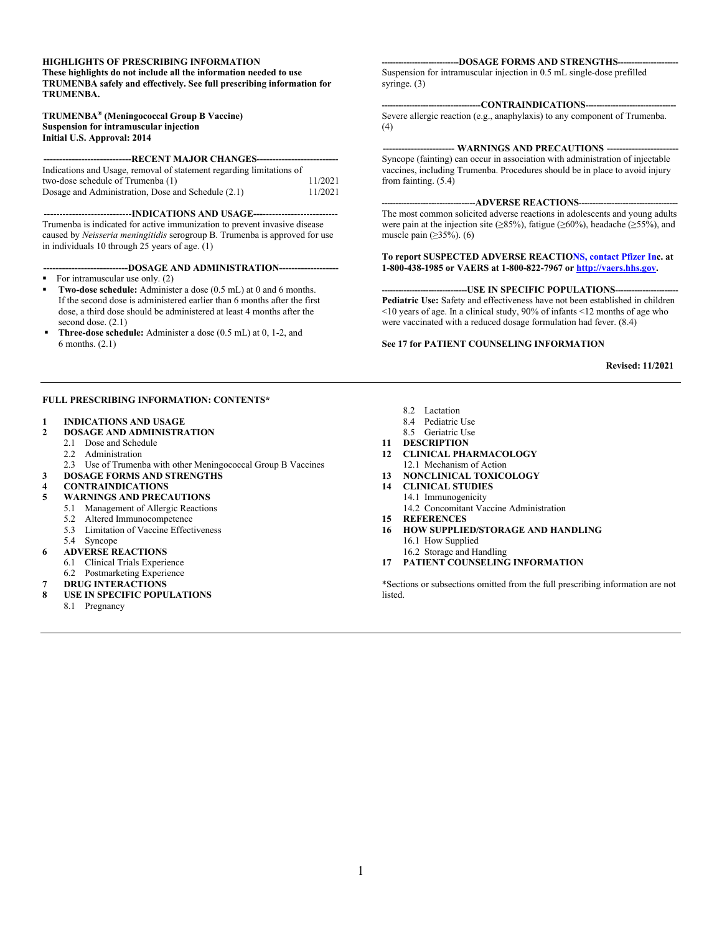### **HIGHLIGHTS OF PRESCRIBING INFORMATION**

**These highlights do not include all the information needed to use TRUMENBA safely and effectively. See full prescribing information for TRUMENBA.**

#### **TRUMENBA® (Meningococcal Group B Vaccine) Suspension for intramuscular injection Initial U.S. Approval: 2014**

**----------------------------RECENT MAJOR CHANGES--------------------------**

| Indications and Usage, removal of statement regarding limitations of |         |
|----------------------------------------------------------------------|---------|
| two-dose schedule of Trumenba (1)                                    | 11/2021 |
| Dosage and Administration, Dose and Schedule (2.1)                   | 11/2021 |

----------------------------**INDICATIONS AND USAGE---**------------------------ Trumenba is indicated for active immunization to prevent invasive disease caused by *Neisseria meningitidis* serogroup B. Trumenba is approved for use in individuals 10 through 25 years of age. (1)

**---------------------------DOSAGE AND ADMINISTRATION-------------------**

- For intramuscular use only. (2)
- **Two-dose schedule:** Administer a dose (0.5 mL) at 0 and 6 months. If the second dose is administered earlier than 6 months after the first dose, a third dose should be administered at least 4 months after the second dose. (2.1)
- **Three-dose schedule:** Administer a dose (0.5 mL) at 0, 1-2, and 6 months. (2.1)

### **FULL PRESCRIBING INFORMATION: CONTENTS\***

### **1 INDICATIONS AND USAGE**

- **2 DOSAGE AND ADMINISTRATION**
	- 2.1 Dose and Schedule
	- 2.2 Administration<br>2.3 Use of Trumen
- Use of Trumenba with other Meningococcal Group B Vaccines
- **3 DOSAGE FORMS AND STRENGTHS**
- **4 CONTRAINDICATIONS**
- **5 WARNINGS AND PRECAUTIONS**
	- 5.1 Management of Allergic Reactions
	- 5.2 Altered Immunocompetence
	- 5.3 Limitation of Vaccine Effectiveness
	- 5.4 Syncope
- **6 ADVERSE REACTIONS**
	- 6.1 Clinical Trials Experience
	- 6.2 Postmarketing Experience
- **7 DRUG INTERACTIONS**
- **8 USE IN SPECIFIC POPULATIONS**
	- 8.1 Pregnancy

#### **----------------------------DOSAGE FORMS AND STRENGTHS----------------------**

Suspension for intramuscular injection in 0.5 mL single-dose prefilled syringe. (3)

### **------------------------------------CONTRAINDICATIONS---------------------------------**

Severe allergic reaction (e.g., anaphylaxis) to any component of Trumenba. (4)

### **----------------------- WARNINGS AND PRECAUTIONS -----------------------**

Syncope (fainting) can occur in association with administration of injectable vaccines, including Trumenba. Procedures should be in place to avoid injury from fainting. (5.4)

### **----------------------------------ADVERSE REACTIONS------------------------------------**

The most common solicited adverse reactions in adolescents and young adults were pain at the injection site ( $\geq 85\%$ ), fatigue ( $\geq 60\%$ ), headache ( $\geq 55\%$ ), and muscle pain  $(\geq 35\%)$ . (6)

### **To report SUSPECTED ADVERSE REACTIO[NS, contact Pfizer](http://vaers.hhs.gov/) Inc. at 1-800-438-1985 or VAERS at 1-800-822-7967 or http://vaers.hhs.gov.**

#### **---USE IN SPECIFIC POPULATIONS---Pediatric Use:** Safety and effectiveness have not been established in children <10 years of age. In a clinical study, 90% of infants <12 months of age who were vaccinated with a reduced dosage formulation had fever. (8.4)

#### **See 17 for PATIENT COUNSELING INFORMATION**

**Revised: 11/2021**

- 8.2 Lactation
- 8.4 Pediatric Use
- 8.5 Geriatric Use
- **11 DESCRIPTION**
- **12 CLINICAL PHARMACOLOGY** 12.1 Mechanism of Action
- **13 NONCLINICAL TOXICOLOGY**
- **14 CLINICAL STUDIES** 14.1 Immunogenicity 14.2 Concomitant Vaccine Administration
- **15 REFERENCES**
- **16 HOW SUPPLIED/STORAGE AND HANDLING** 16.1 How Supplied
	- 16.2 Storage and Handling
- **17 PATIENT COUNSELING INFORMATION**

\*Sections or subsections omitted from the full prescribing information are not listed.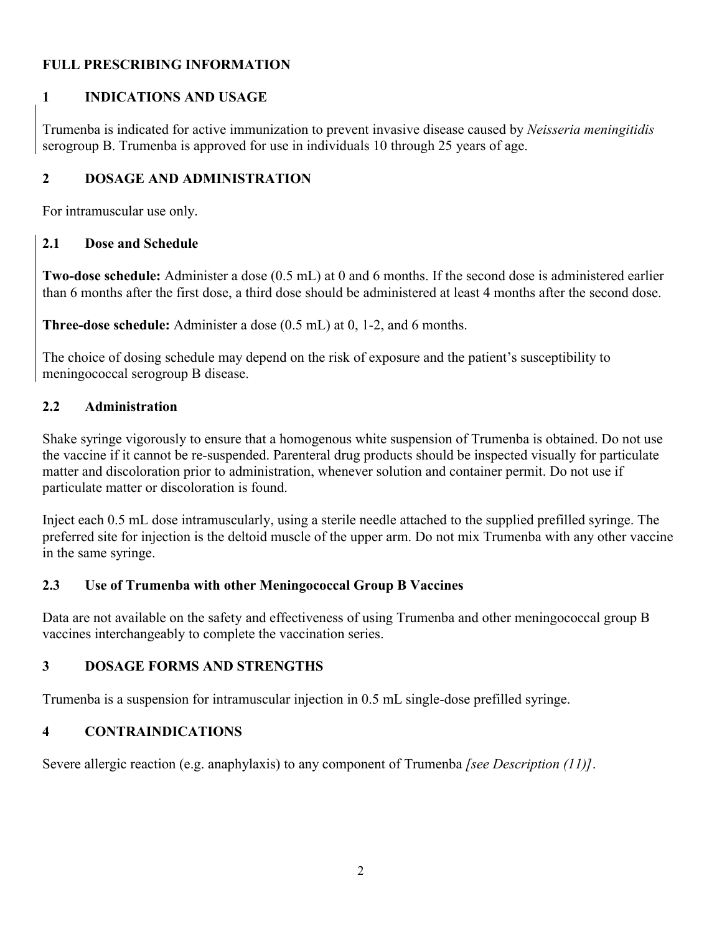# **FULL PRESCRIBING INFORMATION**

# **1 INDICATIONS AND USAGE**

Trumenba is indicated for active immunization to prevent invasive disease caused by *Neisseria meningitidis*  serogroup B. Trumenba is approved for use in individuals 10 through 25 years of age.

# **2 DOSAGE AND ADMINISTRATION**

For intramuscular use only.

# **2.1 Dose and Schedule**

**Two-dose schedule:** Administer a dose (0.5 mL) at 0 and 6 months. If the second dose is administered earlier than 6 months after the first dose, a third dose should be administered at least 4 months after the second dose.

**Three-dose schedule:** Administer a dose (0.5 mL) at 0, 1-2, and 6 months.

The choice of dosing schedule may depend on the risk of exposure and the patient's susceptibility to meningococcal serogroup B disease.

# **2.2 Administration**

Shake syringe vigorously to ensure that a homogenous white suspension of Trumenba is obtained. Do not use the vaccine if it cannot be re-suspended. Parenteral drug products should be inspected visually for particulate matter and discoloration prior to administration, whenever solution and container permit. Do not use if particulate matter or discoloration is found.

Inject each 0.5 mL dose intramuscularly, using a sterile needle attached to the supplied prefilled syringe. The preferred site for injection is the deltoid muscle of the upper arm. Do not mix Trumenba with any other vaccine in the same syringe.

# **2.3 Use of Trumenba with other Meningococcal Group B Vaccines**

Data are not available on the safety and effectiveness of using Trumenba and other meningococcal group B vaccines interchangeably to complete the vaccination series.

# **3 DOSAGE FORMS AND STRENGTHS**

Trumenba is a suspension for intramuscular injection in 0.5 mL single-dose prefilled syringe.

# **4 CONTRAINDICATIONS**

Severe allergic reaction (e.g. anaphylaxis) to any component of Trumenba *[see Description (11)]*.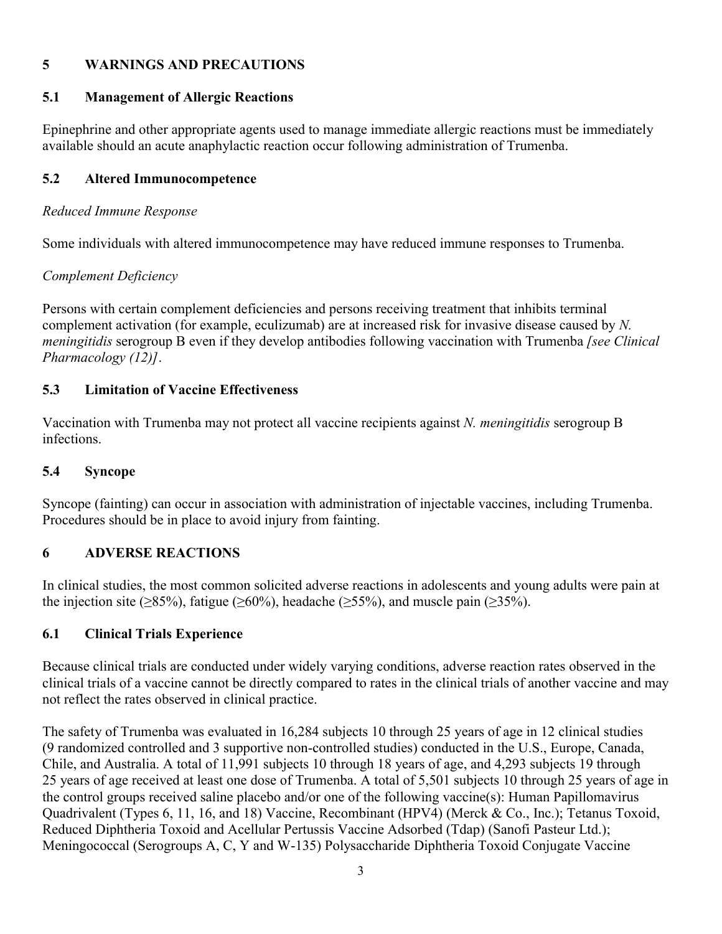# **5 WARNINGS AND PRECAUTIONS**

# **5.1 Management of Allergic Reactions**

Epinephrine and other appropriate agents used to manage immediate allergic reactions must be immediately available should an acute anaphylactic reaction occur following administration of Trumenba.

# **5.2 Altered Immunocompetence**

## *Reduced Immune Response*

Some individuals with altered immunocompetence may have reduced immune responses to Trumenba.

# *Complement Deficiency*

Persons with certain complement deficiencies and persons receiving treatment that inhibits terminal complement activation (for example, eculizumab) are at increased risk for invasive disease caused by *N. meningitidis* serogroup B even if they develop antibodies following vaccination with Trumenba *[see Clinical Pharmacology (12)]*.

# **5.3 Limitation of Vaccine Effectiveness**

Vaccination with Trumenba may not protect all vaccine recipients against *N. meningitidis* serogroup B infections.

## **5.4 Syncope**

Syncope (fainting) can occur in association with administration of injectable vaccines, including Trumenba. Procedures should be in place to avoid injury from fainting.

## **6 ADVERSE REACTIONS**

In clinical studies, the most common solicited adverse reactions in adolescents and young adults were pain at the injection site ( $\geq$ 85%), fatigue ( $\geq$ 60%), headache ( $\geq$ 55%), and muscle pain ( $\geq$ 35%).

## **6.1 Clinical Trials Experience**

Because clinical trials are conducted under widely varying conditions, adverse reaction rates observed in the clinical trials of a vaccine cannot be directly compared to rates in the clinical trials of another vaccine and may not reflect the rates observed in clinical practice.

The safety of Trumenba was evaluated in 16,284 subjects 10 through 25 years of age in 12 clinical studies (9 randomized controlled and 3 supportive non-controlled studies) conducted in the U.S., Europe, Canada, Chile, and Australia. A total of 11,991 subjects 10 through 18 years of age, and 4,293 subjects 19 through 25 years of age received at least one dose of Trumenba. A total of 5,501 subjects 10 through 25 years of age in the control groups received saline placebo and/or one of the following vaccine(s): Human Papillomavirus Quadrivalent (Types 6, 11, 16, and 18) Vaccine, Recombinant (HPV4) (Merck & Co., Inc.); Tetanus Toxoid, Reduced Diphtheria Toxoid and Acellular Pertussis Vaccine Adsorbed (Tdap) (Sanofi Pasteur Ltd.); Meningococcal (Serogroups A, C, Y and W-135) Polysaccharide Diphtheria Toxoid Conjugate Vaccine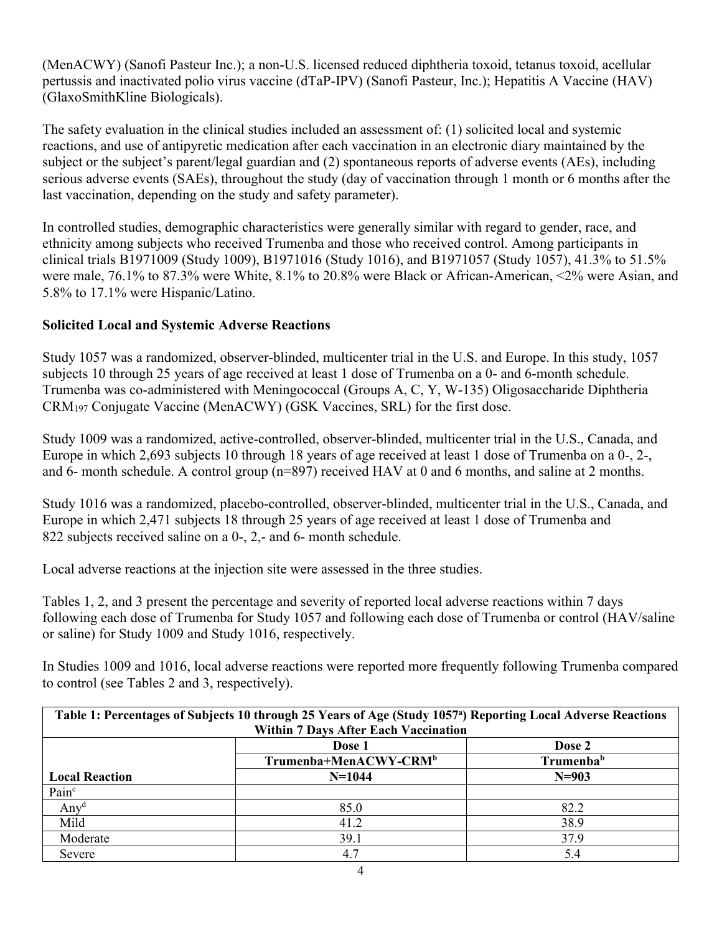(MenACWY) (Sanofi Pasteur Inc.); a non-U.S. licensed reduced diphtheria toxoid, tetanus toxoid, acellular pertussis and inactivated polio virus vaccine (dTaP-IPV) (Sanofi Pasteur, Inc.); Hepatitis A Vaccine (HAV) (GlaxoSmithKline Biologicals).

The safety evaluation in the clinical studies included an assessment of: (1) solicited local and systemic reactions, and use of antipyretic medication after each vaccination in an electronic diary maintained by the subject or the subject's parent/legal guardian and (2) spontaneous reports of adverse events (AEs), including serious adverse events (SAEs), throughout the study (day of vaccination through 1 month or 6 months after the last vaccination, depending on the study and safety parameter).

In controlled studies, demographic characteristics were generally similar with regard to gender, race, and ethnicity among subjects who received Trumenba and those who received control. Among participants in clinical trials B1971009 (Study 1009), B1971016 (Study 1016), and B1971057 (Study 1057), 41.3% to 51.5% were male, 76.1% to 87.3% were White, 8.1% to 20.8% were Black or African-American, <2% were Asian, and 5.8% to 17.1% were Hispanic/Latino.

# **Solicited Local and Systemic Adverse Reactions**

Study 1057 was a randomized, observer-blinded, multicenter trial in the U.S. and Europe. In this study, 1057 subjects 10 through 25 years of age received at least 1 dose of Trumenba on a 0- and 6-month schedule. Trumenba was co-administered with Meningococcal (Groups A, C, Y, W-135) Oligosaccharide Diphtheria CRM<sup>197</sup> Conjugate Vaccine (MenACWY) (GSK Vaccines, SRL) for the first dose.

Study 1009 was a randomized, active-controlled, observer-blinded, multicenter trial in the U.S., Canada, and Europe in which 2,693 subjects 10 through 18 years of age received at least 1 dose of Trumenba on a 0-, 2-, and 6- month schedule. A control group (n=897) received HAV at 0 and 6 months, and saline at 2 months.

Study 1016 was a randomized, placebo-controlled, observer-blinded, multicenter trial in the U.S., Canada, and Europe in which 2,471 subjects 18 through 25 years of age received at least 1 dose of Trumenba and 822 subjects received saline on a 0-, 2,- and 6- month schedule.

Local adverse reactions at the injection site were assessed in the three studies.

Tables 1, 2, and 3 present the percentage and severity of reported local adverse reactions within 7 days following each dose of Trumenba for Study 1057 and following each dose of Trumenba or control (HAV/saline or saline) for Study 1009 and Study 1016, respectively.

In Studies 1009 and 1016, local adverse reactions were reported more frequently following Trumenba compared to control (see Tables 2 and 3, respectively).

| Table 1: Percentages of Subjects 10 through 25 Years of Age (Study 1057 <sup>ª</sup> ) Reporting Local Adverse Reactions |                                             |                       |  |  |  |  |
|--------------------------------------------------------------------------------------------------------------------------|---------------------------------------------|-----------------------|--|--|--|--|
|                                                                                                                          | <b>Within 7 Days After Each Vaccination</b> |                       |  |  |  |  |
|                                                                                                                          | Dose 2<br>Dose 1                            |                       |  |  |  |  |
|                                                                                                                          | Trumenba+MenACWY-CRM <sup>b</sup>           | Trumenba <sup>b</sup> |  |  |  |  |
| <b>Local Reaction</b>                                                                                                    | $N=1044$                                    | $N=903$               |  |  |  |  |
| Pain <sup>c</sup>                                                                                                        |                                             |                       |  |  |  |  |
| $Anv^d$                                                                                                                  | 85.0                                        | 82.2                  |  |  |  |  |
| Mild                                                                                                                     | 41.2                                        | 38.9                  |  |  |  |  |
| Moderate                                                                                                                 | 39.1                                        | 37.9                  |  |  |  |  |
| Severe                                                                                                                   | 4.7                                         | 5.4                   |  |  |  |  |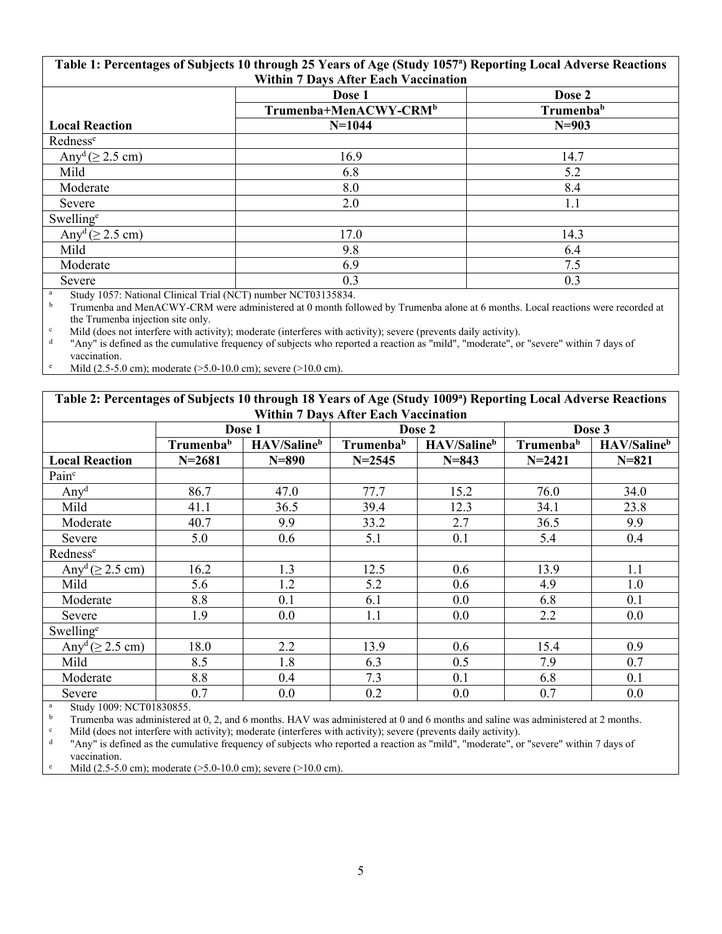| Table 1: Percentages of Subjects 10 through 25 Years of Age (Study 1057 <sup>a</sup> ) Reporting Local Adverse Reactions |                                                                 |                       |  |  |  |  |  |
|--------------------------------------------------------------------------------------------------------------------------|-----------------------------------------------------------------|-----------------------|--|--|--|--|--|
|                                                                                                                          | <b>Within 7 Days After Each Vaccination</b><br>Dose 2<br>Dose 1 |                       |  |  |  |  |  |
|                                                                                                                          | Trumenba+MenACWY-CRM <sup>b</sup>                               | Trumenba <sup>b</sup> |  |  |  |  |  |
| <b>Local Reaction</b>                                                                                                    | $N=1044$                                                        | $N = 903$             |  |  |  |  |  |
| Rednesse                                                                                                                 |                                                                 |                       |  |  |  |  |  |
| Any <sup>d</sup> $( \geq 2.5$ cm)                                                                                        | 16.9                                                            | 14.7                  |  |  |  |  |  |
| Mild                                                                                                                     | 6.8                                                             | 5.2                   |  |  |  |  |  |
| Moderate                                                                                                                 | 8.0                                                             | 8.4                   |  |  |  |  |  |
| Severe                                                                                                                   | 2.0                                                             | 1.1                   |  |  |  |  |  |
| Swelling <sup>e</sup>                                                                                                    |                                                                 |                       |  |  |  |  |  |
| Any <sup>d</sup> $( \geq 2.5$ cm)                                                                                        | 17.0                                                            | 14.3                  |  |  |  |  |  |
| Mild                                                                                                                     | 9.8                                                             | 6.4                   |  |  |  |  |  |
| Moderate                                                                                                                 | 6.9                                                             | 7.5                   |  |  |  |  |  |
| Severe                                                                                                                   | 0.3                                                             | 0.3                   |  |  |  |  |  |

<sup>a</sup> Study 1057: National Clinical Trial (NCT) number NCT03135834.<br> **b** Trumenba and MenACWY-CRM were administered at 0 month fol

<sup>b</sup> Trumenba and MenACWY-CRM were administered at 0 month followed by Trumenba alone at 6 months. Local reactions were recorded at the Trumenba injection site only.

<sup>c</sup> Mild (does not interfere with activity); moderate (interferes with activity); severe (prevents daily activity).

d "Any" is defined as the cumulative frequency of subjects who reported a reaction as "mild", "moderate", or "severe" within 7 days of

vaccination.

Mild (2.5-5.0 cm); moderate (>5.0-10.0 cm); severe (>10.0 cm).

**Table 2: Percentages of Subjects 10 through 18 Years of Age (Study 1009<sup>a</sup> ) Reporting Local Adverse Reactions Within 7 Days After Each Vaccination**

|                                   | Dose 1                |                         |                       | Dose 2                  | Dose 3                |                         |
|-----------------------------------|-----------------------|-------------------------|-----------------------|-------------------------|-----------------------|-------------------------|
|                                   | Trumenba <sup>b</sup> | HAV/Saline <sup>b</sup> | Trumenba <sup>b</sup> | HAV/Saline <sup>b</sup> | Trumenba <sup>b</sup> | HAV/Saline <sup>b</sup> |
| <b>Local Reaction</b>             | $N = 2681$            | $N = 890$               | $N = 2545$            | $N = 843$               | $N = 2421$            | $N = 821$               |
| Painc                             |                       |                         |                       |                         |                       |                         |
| Any <sup>d</sup>                  | 86.7                  | 47.0                    | 77.7                  | 15.2                    | 76.0                  | 34.0                    |
| Mild                              | 41.1                  | 36.5                    | 39.4                  | 12.3                    | 34.1                  | 23.8                    |
| Moderate                          | 40.7                  | 9.9                     | 33.2                  | 2.7                     | 36.5                  | 9.9                     |
| Severe                            | 5.0                   | 0.6                     | 5.1                   | 0.1                     | 5.4                   | 0.4                     |
| Redness <sup>e</sup>              |                       |                         |                       |                         |                       |                         |
| Any <sup>d</sup> $( \geq 2.5$ cm) | 16.2                  | 1.3                     | 12.5                  | 0.6                     | 13.9                  | 1.1                     |
| Mild                              | 5.6                   | 1.2                     | 5.2                   | 0.6                     | 4.9                   | 1.0                     |
| Moderate                          | 8.8                   | 0.1                     | 6.1                   | 0.0                     | 6.8                   | 0.1                     |
| Severe                            | 1.9                   | 0.0                     | 1.1                   | 0.0                     | 2.2                   | 0.0                     |
| Swelling <sup>e</sup>             |                       |                         |                       |                         |                       |                         |
| Any <sup>d</sup> $( \geq 2.5$ cm) | 18.0                  | 2.2                     | 13.9                  | 0.6                     | 15.4                  | 0.9                     |
| Mild                              | 8.5                   | 1.8                     | 6.3                   | 0.5                     | 7.9                   | 0.7                     |
| Moderate                          | 8.8                   | 0.4                     | 7.3                   | 0.1                     | 6.8                   | 0.1                     |
| Severe                            | 0.7                   | 0.0                     | 0.2                   | 0.0                     | 0.7                   | 0.0                     |

 $\frac{a}{b}$  Study 1009: NCT01830855.

<sup>b</sup> Trumenba was administered at 0, 2, and 6 months. HAV was administered at 0 and 6 months and saline was administered at 2 months.<br>Mild (does not interfere with activity): moderate (interferee with activity); severa (pr

<sup>c</sup> Mild (does not interfere with activity); moderate (interferes with activity); severe (prevents daily activity).

d "Any" is defined as the cumulative frequency of subjects who reported a reaction as "mild", "moderate", or "severe" within 7 days of vaccination.

Mild (2.5-5.0 cm); moderate (>5.0-10.0 cm); severe (>10.0 cm).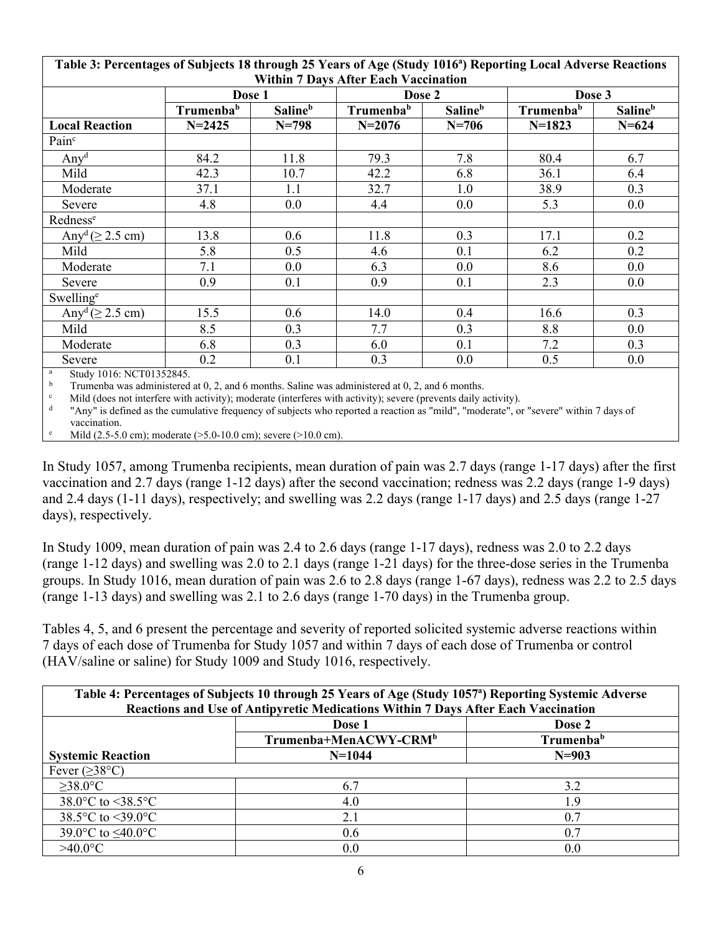| 0<br><b>Within 7 Days After Each Vaccination</b> |                       |                            |                       |                            |                       |                            |  |
|--------------------------------------------------|-----------------------|----------------------------|-----------------------|----------------------------|-----------------------|----------------------------|--|
|                                                  | Dose 1                |                            | Dose 2                |                            |                       | Dose 3                     |  |
|                                                  | Trumenba <sup>b</sup> | <b>Saline</b> <sup>b</sup> | Trumenba <sup>b</sup> | <b>Saline</b> <sup>b</sup> | Trumenba <sup>b</sup> | <b>Saline</b> <sup>b</sup> |  |
| <b>Local Reaction</b>                            | $N = 2425$            | $N = 798$                  | $N = 2076$            | $N = 706$                  | $N=1823$              | $N = 624$                  |  |
| Pain <sup>c</sup>                                |                       |                            |                       |                            |                       |                            |  |
| Any <sup>d</sup>                                 | 84.2                  | 11.8                       | 79.3                  | 7.8                        | 80.4                  | 6.7                        |  |
| Mild                                             | 42.3                  | 10.7                       | 42.2                  | 6.8                        | 36.1                  | 6.4                        |  |
| Moderate                                         | 37.1                  | 1.1                        | 32.7                  | 1.0                        | 38.9                  | 0.3                        |  |
| Severe                                           | 4.8                   | 0.0                        | 4.4                   | 0.0                        | 5.3                   | $0.0\,$                    |  |
| Rednesse                                         |                       |                            |                       |                            |                       |                            |  |
| Any <sup>d</sup> $( \geq 2.5$ cm)                | 13.8                  | 0.6                        | 11.8                  | 0.3                        | 17.1                  | 0.2                        |  |
| Mild                                             | 5.8                   | 0.5                        | 4.6                   | 0.1                        | 6.2                   | 0.2                        |  |
| Moderate                                         | 7.1                   | 0.0                        | 6.3                   | 0.0                        | 8.6                   | $0.0\,$                    |  |
| Severe                                           | 0.9                   | 0.1                        | 0.9                   | 0.1                        | 2.3                   | $0.0\,$                    |  |
| Swelling <sup>e</sup>                            |                       |                            |                       |                            |                       |                            |  |
| Any <sup>d</sup> $( \geq 2.5$ cm)                | 15.5                  | 0.6                        | 14.0                  | 0.4                        | 16.6                  | 0.3                        |  |
| Mild                                             | 8.5                   | 0.3                        | 7.7                   | 0.3                        | 8.8                   | $0.0\,$                    |  |
| Moderate                                         | 6.8                   | 0.3                        | 6.0                   | 0.1                        | 7.2                   | 0.3                        |  |
| Severe                                           | 0.2                   | 0.1                        | 0.3                   | 0.0                        | 0.5                   | 0.0                        |  |

**Table 3: Percentages of Subjects 18 through 25 Years of Age (Study 1016<sup>a</sup> ) Reporting Local Adverse Reactions** 

<sup>a</sup> Study 1016: NCT01352845.

<sup>b</sup> Trumenba was administered at 0, 2, and 6 months. Saline was administered at 0, 2, and 6 months.

<sup>c</sup> Mild (does not interfere with activity); moderate (interferes with activity); severe (prevents daily activity).

d "Any" is defined as the cumulative frequency of subjects who reported a reaction as "mild", "moderate", or "severe" within 7 days of vaccination.

Mild (2.5-5.0 cm); moderate (>5.0-10.0 cm); severe (>10.0 cm).

In Study 1057, among Trumenba recipients, mean duration of pain was 2.7 days (range 1-17 days) after the first vaccination and 2.7 days (range 1-12 days) after the second vaccination; redness was 2.2 days (range 1-9 days) and 2.4 days (1-11 days), respectively; and swelling was 2.2 days (range 1-17 days) and 2.5 days (range 1-27 days), respectively.

In Study 1009, mean duration of pain was 2.4 to 2.6 days (range 1-17 days), redness was 2.0 to 2.2 days (range 1-12 days) and swelling was 2.0 to 2.1 days (range 1-21 days) for the three-dose series in the Trumenba groups. In Study 1016, mean duration of pain was 2.6 to 2.8 days (range 1-67 days), redness was 2.2 to 2.5 days (range 1-13 days) and swelling was 2.1 to 2.6 days (range 1-70 days) in the Trumenba group.

Tables 4, 5, and 6 present the percentage and severity of reported solicited systemic adverse reactions within 7 days of each dose of Trumenba for Study 1057 and within 7 days of each dose of Trumenba or control (HAV/saline or saline) for Study 1009 and Study 1016, respectively.

| Table 4: Percentages of Subjects 10 through 25 Years of Age (Study 1057 <sup>a</sup> ) Reporting Systemic Adverse<br>Reactions and Use of Antipyretic Medications Within 7 Days After Each Vaccination |                                                            |        |  |  |  |  |
|--------------------------------------------------------------------------------------------------------------------------------------------------------------------------------------------------------|------------------------------------------------------------|--------|--|--|--|--|
|                                                                                                                                                                                                        |                                                            |        |  |  |  |  |
|                                                                                                                                                                                                        | Dose 1                                                     | Dose 2 |  |  |  |  |
|                                                                                                                                                                                                        | Trumenba+MenACWY-CRM <sup>b</sup><br>Trumenba <sup>b</sup> |        |  |  |  |  |
| <b>Systemic Reaction</b>                                                                                                                                                                               | $N=1044$<br>$N = 903$                                      |        |  |  |  |  |
| Fever $(\geq 38^{\circ}C)$                                                                                                                                                                             |                                                            |        |  |  |  |  |
| $>38.0$ °C                                                                                                                                                                                             | 6.7                                                        | 3.2    |  |  |  |  |
| 38.0 °C to $\leq 38.5$ °C                                                                                                                                                                              | 4.0                                                        | 1.9    |  |  |  |  |
| 38.5 $\degree$ C to <39.0 $\degree$ C                                                                                                                                                                  | 2.1                                                        | 0.7    |  |  |  |  |
| 39.0°C to $\leq 40.0$ °C                                                                                                                                                                               | 0.6                                                        | 0.7    |  |  |  |  |
| $>40.0$ °C                                                                                                                                                                                             | 0.0                                                        | 0.0    |  |  |  |  |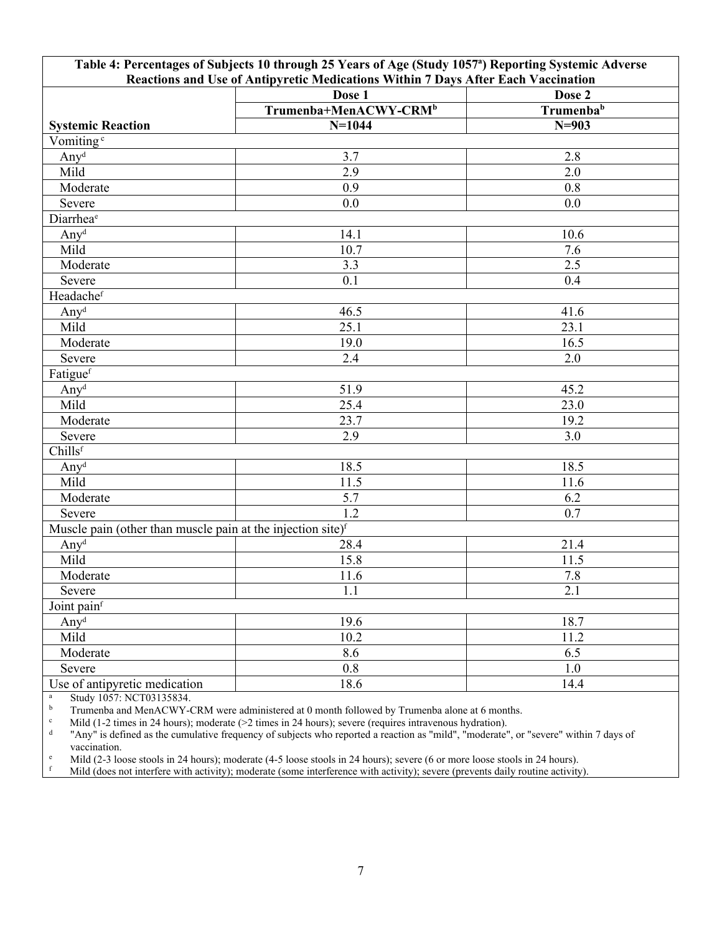|                                                                         | Table 4: Percentages of Subjects 10 through 25 Years of Age (Study 1057 <sup>a</sup> ) Reporting Systemic Adverse |                       |  |  |  |  |  |
|-------------------------------------------------------------------------|-------------------------------------------------------------------------------------------------------------------|-----------------------|--|--|--|--|--|
|                                                                         | Reactions and Use of Antipyretic Medications Within 7 Days After Each Vaccination                                 |                       |  |  |  |  |  |
|                                                                         | Dose 1                                                                                                            | Dose 2                |  |  |  |  |  |
|                                                                         | Trumenba+MenACWY-CRM <sup>b</sup>                                                                                 | Trumenba <sup>b</sup> |  |  |  |  |  |
| <b>Systemic Reaction</b>                                                | $N=1044$                                                                                                          | $N = 903$             |  |  |  |  |  |
| Vomiting <sup>c</sup>                                                   |                                                                                                                   |                       |  |  |  |  |  |
| Any <sup>d</sup>                                                        | 3.7                                                                                                               | 2.8                   |  |  |  |  |  |
| Mild                                                                    | 2.9                                                                                                               | 2.0                   |  |  |  |  |  |
| Moderate                                                                | 0.9                                                                                                               | 0.8                   |  |  |  |  |  |
| Severe                                                                  | 0.0                                                                                                               | 0.0                   |  |  |  |  |  |
| Diarrhea <sup>e</sup>                                                   |                                                                                                                   |                       |  |  |  |  |  |
| Any <sup>d</sup>                                                        | 14.1                                                                                                              | 10.6                  |  |  |  |  |  |
| Mild                                                                    | 10.7                                                                                                              | 7.6                   |  |  |  |  |  |
| Moderate                                                                | 3.3                                                                                                               | 2.5                   |  |  |  |  |  |
| Severe                                                                  | 0.1                                                                                                               | 0.4                   |  |  |  |  |  |
| Headachef                                                               |                                                                                                                   |                       |  |  |  |  |  |
| Any <sup>d</sup>                                                        | 46.5                                                                                                              | 41.6                  |  |  |  |  |  |
| Mild                                                                    | 25.1                                                                                                              | 23.1                  |  |  |  |  |  |
| Moderate                                                                | 19.0                                                                                                              | 16.5                  |  |  |  |  |  |
| Severe                                                                  | 2.4                                                                                                               | 2.0                   |  |  |  |  |  |
| Fatiguef                                                                |                                                                                                                   |                       |  |  |  |  |  |
| Any <sup>d</sup>                                                        | 51.9                                                                                                              | 45.2                  |  |  |  |  |  |
| Mild                                                                    | 25.4                                                                                                              | 23.0                  |  |  |  |  |  |
| Moderate                                                                | 23.7                                                                                                              | 19.2                  |  |  |  |  |  |
| Severe                                                                  | 2.9                                                                                                               | 3.0                   |  |  |  |  |  |
| Chills <sup>f</sup>                                                     |                                                                                                                   |                       |  |  |  |  |  |
| Any <sup>d</sup>                                                        | 18.5                                                                                                              | 18.5                  |  |  |  |  |  |
| Mild                                                                    | 11.5                                                                                                              | 11.6                  |  |  |  |  |  |
| Moderate                                                                | 5.7                                                                                                               | 6.2                   |  |  |  |  |  |
| Severe                                                                  | 1.2                                                                                                               | 0.7                   |  |  |  |  |  |
| Muscle pain (other than muscle pain at the injection site) <sup>f</sup> |                                                                                                                   |                       |  |  |  |  |  |
| Any <sup>d</sup>                                                        | 28.4                                                                                                              | 21.4                  |  |  |  |  |  |
| Mild                                                                    | 15.8                                                                                                              | 11.5                  |  |  |  |  |  |
| Moderate                                                                | 11.6                                                                                                              | 7.8                   |  |  |  |  |  |
| Severe                                                                  | 1.1                                                                                                               | 2.1                   |  |  |  |  |  |
| Joint painf                                                             |                                                                                                                   |                       |  |  |  |  |  |
| Any <sup>d</sup>                                                        | 19.6                                                                                                              | 18.7                  |  |  |  |  |  |
| Mild                                                                    | 10.2                                                                                                              | 11.2                  |  |  |  |  |  |
| Moderate                                                                | 8.6                                                                                                               | 6.5                   |  |  |  |  |  |
| Severe                                                                  | 0.8                                                                                                               | 1.0                   |  |  |  |  |  |
| Use of antipyretic medication                                           | 18.6                                                                                                              | 14.4                  |  |  |  |  |  |

 $\frac{a}{b}$  Study 1057: NCT03135834.<br>Trumenha and MenACWY-C

<sup>b</sup> Trumenba and MenACWY-CRM were administered at 0 month followed by Trumenba alone at 6 months.<br><sup>c</sup> Mild (1-2 times in 24 hours): moderate (>2 times in 24 hours): severe (requires intravenous hydration).

Mild (1-2 times in 24 hours); moderate (>2 times in 24 hours); severe (requires intravenous hydration).

d "Any" is defined as the cumulative frequency of subjects who reported a reaction as "mild", "moderate", or "severe" within 7 days of vaccination.

<sup>e</sup> Mild (2-3 loose stools in 24 hours); moderate (4-5 loose stools in 24 hours); severe (6 or more loose stools in 24 hours).<br>Mild (does not interfere with activity); moderate (some interference with activity); severe (p

<sup>f</sup> Mild (does not interfere with activity); moderate (some interference with activity); severe (prevents daily routine activity).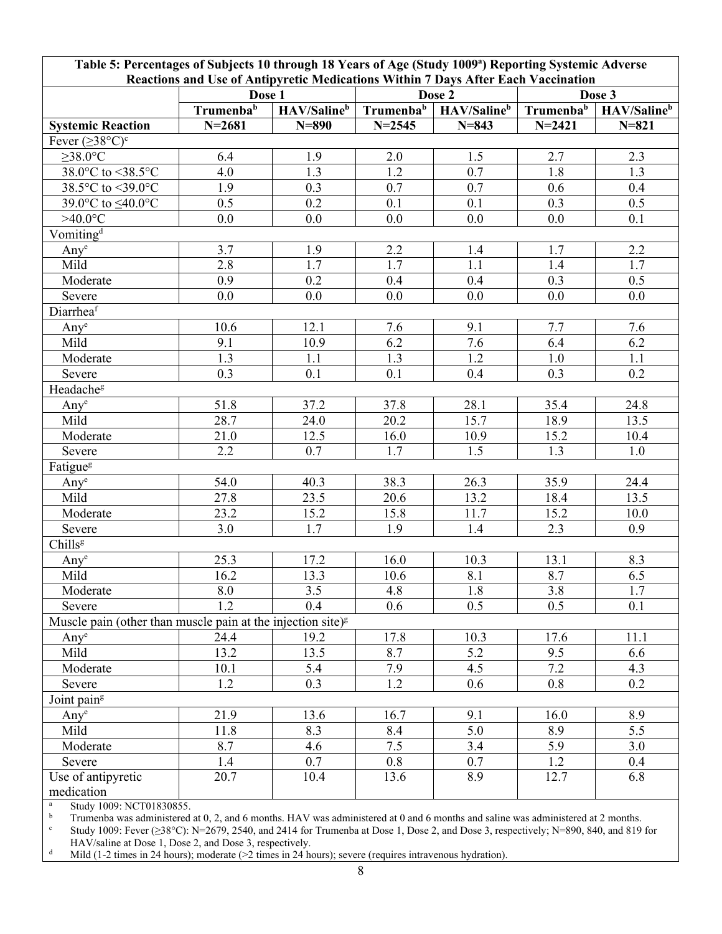| Table 5: Percentages of Subjects 10 through 18 Years of Age (Study 1009 <sup>a</sup> ) Reporting Systemic Adverse<br>Reactions and Use of Antipyretic Medications Within 7 Days After Each Vaccination |                 |             |                  |                  |            |             |
|--------------------------------------------------------------------------------------------------------------------------------------------------------------------------------------------------------|-----------------|-------------|------------------|------------------|------------|-------------|
|                                                                                                                                                                                                        | Dose 1          |             | Dose 2           |                  | Dose 3     |             |
|                                                                                                                                                                                                        | Trumenbab       | HAV/Salineb | Trumenbab        | HAV/Salineb      | Trumenbab  | HAV/Salineb |
| <b>Systemic Reaction</b>                                                                                                                                                                               | $N = 2681$      | $N = 890$   | $N = 2545$       | $N = 843$        | $N = 2421$ | $N = 821$   |
| Fever $(\geq 38^{\circ}C)^{c}$                                                                                                                                                                         |                 |             |                  |                  |            |             |
| $\geq$ 38.0°C                                                                                                                                                                                          | 6.4             | 1.9         | 2.0              | 1.5              | 2.7        | 2.3         |
| 38.0°C to <38.5°C                                                                                                                                                                                      | 4.0             | 1.3         | 1.2              | 0.7              | 1.8        | 1.3         |
| 38.5°C to <39.0°C                                                                                                                                                                                      | 1.9             | 0.3         | 0.7              | 0.7              | 0.6        | 0.4         |
| 39.0°C to ≤40.0°C                                                                                                                                                                                      | 0.5             | 0.2         | 0.1              | 0.1              | 0.3        | 0.5         |
| $>40.0$ °C                                                                                                                                                                                             | 0.0             | 0.0         | 0.0              | 0.0              | 0.0        | 0.1         |
| Vomiting <sup>d</sup>                                                                                                                                                                                  |                 |             |                  |                  |            |             |
| Any <sup>e</sup>                                                                                                                                                                                       | 3.7             | 1.9         | 2.2              | 1.4              | 1.7        | 2.2         |
| Mild                                                                                                                                                                                                   | 2.8             | 1.7         | 1.7              | 1.1              | 1.4        | 1.7         |
| Moderate                                                                                                                                                                                               | 0.9             | 0.2         | 0.4              | 0.4              | 0.3        | 0.5         |
| Severe                                                                                                                                                                                                 | 0.0             | 0.0         | 0.0              | 0.0              | 0.0        | 0.0         |
| Diarrheaf                                                                                                                                                                                              |                 |             |                  |                  |            |             |
| Any <sup>e</sup>                                                                                                                                                                                       | 10.6            | 12.1        | 7.6              | 9.1              | 7.7        | 7.6         |
| Mild                                                                                                                                                                                                   | 9.1             | 10.9        | 6.2              | 7.6              | 6.4        | 6.2         |
| Moderate                                                                                                                                                                                               | 1.3             | 1.1         | 1.3              | 1.2              | 1.0        | 1.1         |
| Severe                                                                                                                                                                                                 | 0.3             | 0.1         | 0.1              | 0.4              | 0.3        | 0.2         |
| Headache <sup>g</sup>                                                                                                                                                                                  |                 |             |                  |                  |            |             |
| Any <sup>e</sup>                                                                                                                                                                                       | 51.8            | 37.2        | 37.8             | 28.1             | 35.4       | 24.8        |
| Mild                                                                                                                                                                                                   | 28.7            | 24.0        | 20.2             | 15.7             | 18.9       | 13.5        |
| Moderate                                                                                                                                                                                               | 21.0            | 12.5        | 16.0             | 10.9             | 15.2       | 10.4        |
| Severe                                                                                                                                                                                                 | 2.2             | 0.7         | $\overline{1.7}$ | $\overline{1.5}$ | 1.3        | 1.0         |
| Fatigue <sup>g</sup>                                                                                                                                                                                   |                 |             |                  |                  |            |             |
| Any <sup>e</sup>                                                                                                                                                                                       | 54.0            | 40.3        | 38.3             | 26.3             | 35.9       | 24.4        |
| Mild                                                                                                                                                                                                   | 27.8            | 23.5        | 20.6             | 13.2             | 18.4       | 13.5        |
| Moderate                                                                                                                                                                                               | 23.2            | 15.2        | 15.8             | 11.7             | 15.2       | 10.0        |
| Severe                                                                                                                                                                                                 | 3.0             | 1.7         | 1.9              | 1.4              | 2.3        | 0.9         |
| Chills <sup>g</sup>                                                                                                                                                                                    |                 |             |                  |                  |            |             |
| Any <sup>e</sup>                                                                                                                                                                                       | 25.3            | 17.2        | 16.0             | 10.3             | 13.1       | 8.3         |
| Mild                                                                                                                                                                                                   | $\frac{1}{6.2}$ | 13.3        | 10.6             | 8.1              | 8.7        | 6.5         |
| Moderate                                                                                                                                                                                               | 8.0             | 3.5         | 4.8              | $1.8$            | $3.8\,$    | $1.7\,$     |
| Severe                                                                                                                                                                                                 | 1.2             | 0.4         | 0.6              | 0.5              | 0.5        | 0.1         |
| Muscle pain (other than muscle pain at the injection site) $s$                                                                                                                                         |                 |             |                  |                  |            |             |
| Any <sup>e</sup>                                                                                                                                                                                       | 24.4            | 19.2        | 17.8             | 10.3             | 17.6       | 11.1        |
| Mild                                                                                                                                                                                                   | 13.2            | 13.5        | 8.7              | 5.2              | 9.5        | 6.6         |
| Moderate                                                                                                                                                                                               | 10.1            | 5.4         | 7.9              | 4.5              | 7.2        | 4.3         |
| Severe                                                                                                                                                                                                 | 1.2             | 0.3         | 1.2              | 0.6              | 0.8        | 0.2         |
| Joint pain <sup>g</sup>                                                                                                                                                                                |                 |             |                  |                  |            |             |
| $Any^e$                                                                                                                                                                                                | 21.9            | 13.6        | 16.7             | 9.1              | 16.0       | 8.9         |
| Mild                                                                                                                                                                                                   | 11.8            | 8.3         | 8.4              | 5.0              | 8.9        | 5.5         |
| Moderate                                                                                                                                                                                               | 8.7             | 4.6         | 7.5              | 3.4              | 5.9        | 3.0         |
| Severe                                                                                                                                                                                                 | 1.4             | 0.7         | 0.8              | 0.7              | 1.2        | 0.4         |
| Use of antipyretic                                                                                                                                                                                     | 20.7            | 10.4        | 13.6             | 8.9              | 12.7       | 6.8         |
| medication                                                                                                                                                                                             |                 |             |                  |                  |            |             |

 $\frac{a}{b}$  Study 1009: NCT01830855.

<sup>b</sup> Trumenba was administered at 0, 2, and 6 months. HAV was administered at 0 and 6 months and saline was administered at 2 months.<br><sup>c</sup> Study 1009: Fever (>38°C): N=2679, 2540, and 2414 for Trumenba at Dose 1, Dose 2, an

<sup>c</sup> Study 1009: Fever (≥38°C): N=2679, 2540, and 2414 for Trumenba at Dose 1, Dose 2, and Dose 3, respectively; N=890, 840, and 819 for HAV/saline at Dose 1, Dose 2, and Dose 3, respectively.

<sup>d</sup> Mild (1-2 times in 24 hours); moderate ( $\geq$  times in 24 hours); severe (requires intravenous hydration).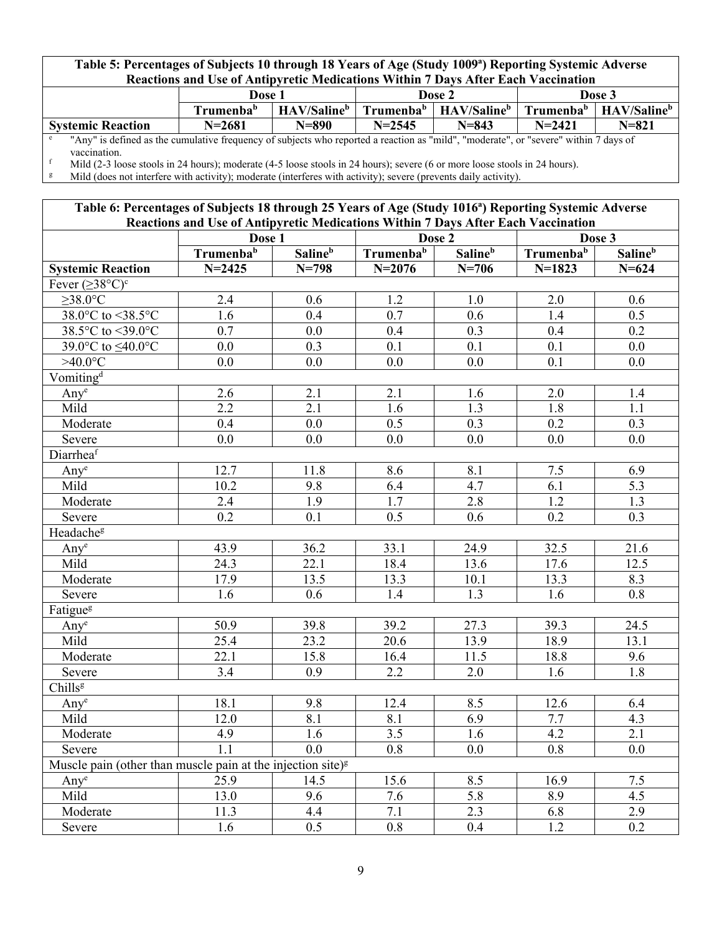### **Table 5: Percentages of Subjects 10 through 18 Years of Age (Study 1009<sup>a</sup> ) Reporting Systemic Adverse Reactions and Use of Antipyretic Medications Within 7 Days After Each Vaccination**

| TWAVAUTO ANG USU UI IMBID II VAU HIVAIVAUUHS "HUMIN" DA ISTINGI DAVIT " AVVINAUUH                                                    |                       |                         |                       |                         |                       |                         |
|--------------------------------------------------------------------------------------------------------------------------------------|-----------------------|-------------------------|-----------------------|-------------------------|-----------------------|-------------------------|
|                                                                                                                                      | Dose 1                |                         | Dose 2                |                         | Dose 3                |                         |
|                                                                                                                                      | Trumenba <sup>b</sup> | HAV/Saline <sup>b</sup> | Trumenba <sup>b</sup> | HAV/Saline <sup>b</sup> | Trumenba <sup>b</sup> | HAV/Saline <sup>b</sup> |
| <b>Systemic Reaction</b>                                                                                                             | $N = 2681$            | $N=890$                 | $N = 2545$            | $N = 843$               | $N = 2421$            | $N = 821$               |
| "Any" is defined as the cumulative frequency of subjects who reported a reaction as "mild", "moderate", or "severe" within 7 days of |                       |                         |                       |                         |                       |                         |
| vaccination.                                                                                                                         |                       |                         |                       |                         |                       |                         |
| Mild (2-3 loose stools in 24 hours); moderate (4-5 loose stools in 24 hours); severe (6 or more loose stools in 24 hours).           |                       |                         |                       |                         |                       |                         |

<sup>g</sup> Mild (does not interfere with activity); moderate (interferes with activity); severe (prevents daily activity).

### **Table 6: Percentages of Subjects 18 through 25 Years of Age (Study 1016<sup>a</sup> ) Reporting Systemic Adverse Reactions and Use of Antipyretic Medications Within 7 Days After Each Vaccination**

|                                                                         | intactions and OSt of Amupyleuc medications within 7 Days After Each Vaccination<br>Dose 1 |                     | Dose 2                |                            | Dose 3                |                            |
|-------------------------------------------------------------------------|--------------------------------------------------------------------------------------------|---------------------|-----------------------|----------------------------|-----------------------|----------------------------|
|                                                                         | Trumenba <sup>b</sup>                                                                      | Saline <sup>b</sup> | Trumenba <sup>b</sup> | <b>Saline</b> <sup>b</sup> | Trumenba <sup>b</sup> | <b>Saline</b> <sup>b</sup> |
| <b>Systemic Reaction</b>                                                | $N = 2425$                                                                                 | $N = 798$           | $N = 2076$            | $N = 706$                  | $N=1823$              | $N = 624$                  |
| Fever $(\geq 38^{\circ}C)^{c}$                                          |                                                                                            |                     |                       |                            |                       |                            |
| $\geq$ 38.0°C                                                           | 2.4                                                                                        | 0.6                 | $1.\overline{2}$      | $1.0$                      | 2.0                   | 0.6                        |
| 38.0°C to <38.5°C                                                       | 1.6                                                                                        | 0.4                 | 0.7                   | 0.6                        | 1.4                   | 0.5                        |
| 38.5°C to <39.0°C                                                       | 0.7                                                                                        | 0.0                 | 0.4                   | 0.3                        | 0.4                   | 0.2                        |
| 39.0°C to ≤40.0°C                                                       | 0.0                                                                                        | 0.3                 | 0.1                   | 0.1                        | 0.1                   | 0.0                        |
| $>40.0$ °C                                                              | 0.0                                                                                        | 0.0                 | 0.0                   | $\overline{0.0}$           | 0.1                   | 0.0                        |
| Vomiting <sup>d</sup>                                                   |                                                                                            |                     |                       |                            |                       |                            |
| $Any^e$                                                                 | 2.6                                                                                        | 2.1                 | 2.1                   | 1.6                        | $2.0\,$               | 1.4                        |
| Mild                                                                    | $\overline{2.2}$                                                                           | 2.1                 | 1.6                   | 1.3                        | 1.8                   | 1.1                        |
| Moderate                                                                | 0.4                                                                                        | 0.0                 | 0.5                   | 0.3                        | 0.2                   | 0.3                        |
| Severe                                                                  | 0.0                                                                                        | 0.0                 | 0.0                   | 0.0                        | 0.0                   | 0.0                        |
| Diarrheaf                                                               |                                                                                            |                     |                       |                            |                       |                            |
| Any <sup>e</sup>                                                        | 12.7                                                                                       | 11.8                | 8.6                   | 8.1                        | $7.5$                 | 6.9                        |
| Mild                                                                    | 10.2                                                                                       | 9.8                 | 6.4                   | 4.7                        | 6.1                   | $\overline{5.3}$           |
| Moderate                                                                | 2.4                                                                                        | $\overline{1.9}$    | $\overline{1.7}$      | 2.8                        | 1.2                   | $\overline{1.3}$           |
| Severe                                                                  | $\overline{0.2}$                                                                           | 0.1                 | 0.5                   | $\overline{0.6}$           | $\overline{0.2}$      | $\overline{0.3}$           |
| Headache <sup>g</sup>                                                   |                                                                                            |                     |                       |                            |                       |                            |
| Any <sup>e</sup>                                                        | 43.9                                                                                       | 36.2                | 33.1                  | 24.9                       | 32.5                  | 21.6                       |
| Mild                                                                    | 24.3                                                                                       | 22.1                | 18.4                  | 13.6                       | 17.6                  | 12.5                       |
| Moderate                                                                | 17.9                                                                                       | 13.5                | 13.3                  | 10.1                       | 13.3                  | 8.3                        |
| Severe                                                                  | 1.6                                                                                        | 0.6                 | 1.4                   | 1.3                        | 1.6                   | 0.8                        |
| Fatigue <sup>g</sup>                                                    |                                                                                            |                     |                       |                            |                       |                            |
| Any <sup>e</sup>                                                        | $\overline{50.9}$                                                                          | 39.8                | 39.2                  | 27.3                       | 39.3                  | 24.5                       |
| $Mil\overline{d}$                                                       | 25.4                                                                                       | 23.2                | 20.6                  | 13.9                       | 18.9                  | 13.1                       |
| Moderate                                                                | 22.1                                                                                       | 15.8                | 16.4                  | 11.5                       | 18.8                  | 9.6                        |
| Severe                                                                  | $\overline{3.4}$                                                                           | 0.9                 | 2.2                   | 2.0                        | 1.6                   | 1.8                        |
| Chills <sup>g</sup>                                                     |                                                                                            |                     |                       |                            |                       |                            |
| $Any^e$                                                                 | 18.1                                                                                       | 9.8                 | 12.4                  | 8.5                        | 12.6                  | 6.4                        |
| Mild                                                                    | 12.0                                                                                       | 8.1                 | 8.1                   | 6.9                        | 7.7                   | 4.3                        |
| Moderate                                                                | 4.9                                                                                        | 1.6                 | 3.5                   | 1.6                        | 4.2                   | $\overline{2.1}$           |
| Severe                                                                  | $\overline{1.1}$                                                                           | 0.0                 | $\overline{0.8}$      | 0.0                        | $0.8\,$               | $0.0\,$                    |
| Muscle pain (other than muscle pain at the injection site) <sup>g</sup> |                                                                                            |                     |                       |                            |                       |                            |
| $Any^e$                                                                 | 25.9                                                                                       | 14.5                | 15.6                  | 8.5                        | 16.9                  | 7.5                        |
| Mild                                                                    | 13.0                                                                                       | 9.6                 | 7.6                   | $\overline{5.8}$           | 8.9                   | 4.5                        |
| Moderate                                                                | 11.3                                                                                       | 4.4                 | $\overline{7.1}$      | 2.3                        | 6.8                   | 2.9                        |
| Severe                                                                  | 1.6                                                                                        | 0.5                 | 0.8                   | 0.4                        | 1.2                   | 0.2                        |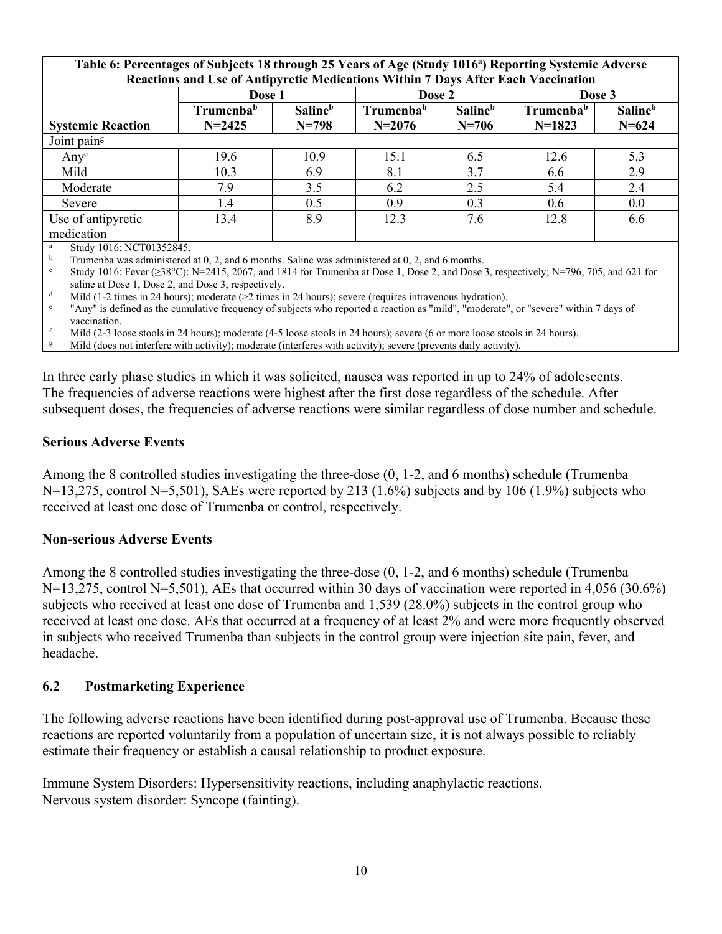| Table 6: Percentages of Subjects 18 through 25 Years of Age (Study 1016 <sup>a</sup> ) Reporting Systemic Adverse |                                                                                   |                            |                       |                            |                       |                            |  |
|-------------------------------------------------------------------------------------------------------------------|-----------------------------------------------------------------------------------|----------------------------|-----------------------|----------------------------|-----------------------|----------------------------|--|
|                                                                                                                   | Reactions and Use of Antipyretic Medications Within 7 Days After Each Vaccination |                            |                       |                            |                       |                            |  |
|                                                                                                                   | Dose 1                                                                            |                            |                       | Dose 2                     |                       | Dose 3                     |  |
|                                                                                                                   | Trumenba <sup>b</sup>                                                             | <b>Saline</b> <sup>b</sup> | Trumenba <sup>b</sup> | <b>Saline</b> <sup>b</sup> | Trumenba <sup>b</sup> | <b>Saline</b> <sup>b</sup> |  |
| <b>Systemic Reaction</b>                                                                                          | $N = 2425$                                                                        | $N = 798$                  | $N = 2076$            | $N = 706$                  | $N=1823$              | $N = 624$                  |  |
| Joint pain <sup>g</sup>                                                                                           |                                                                                   |                            |                       |                            |                       |                            |  |
| $Any^e$                                                                                                           | 19.6                                                                              | 10.9                       | 15.1                  | 6.5                        | 12.6                  | 5.3                        |  |
| Mild                                                                                                              | 10.3                                                                              | 6.9                        | 8.1                   | 3.7                        | 6.6                   | 2.9                        |  |
| Moderate                                                                                                          | 7.9                                                                               | 3.5                        | 6.2                   | 2.5                        | 5.4                   | 2.4                        |  |
| Severe                                                                                                            | 1.4                                                                               | 0.5                        | 0.9                   | 0.3                        | 0.6                   | 0.0                        |  |
| Use of antipyretic                                                                                                | 13.4                                                                              | 8.9                        | 12.3                  | 7.6                        | 12.8                  | 6.6                        |  |
| medication                                                                                                        |                                                                                   |                            |                       |                            |                       |                            |  |
| Study 1016: NCT01352845                                                                                           |                                                                                   |                            |                       |                            |                       |                            |  |

<sup>a</sup> Study 1016: NCT01352845.

<sup>b</sup> Trumenba was administered at 0, 2, and 6 months. Saline was administered at 0, 2, and 6 months.

Study 1016: Fever ( $\geq 38^{\circ}$ C): N=2415, 2067, and 1814 for Trumenba at Dose 1, Dose 2, and Dose 3, respectively; N=796, 705, and 621 for saline at Dose 1, Dose 2, and Dose 3, respectively.

<sup>d</sup> Mild (1-2 times in 24 hours); moderate (>2 times in 24 hours); severe (requires intravenous hydration).

e "Any" is defined as the cumulative frequency of subjects who reported a reaction as "mild", "moderate", or "severe" within 7 days of vaccination.

f Mild (2-3 loose stools in 24 hours); moderate (4-5 loose stools in 24 hours); severe (6 or more loose stools in 24 hours).

<sup>g</sup> Mild (does not interfere with activity); moderate (interferes with activity); severe (prevents daily activity).

In three early phase studies in which it was solicited, nausea was reported in up to 24% of adolescents. The frequencies of adverse reactions were highest after the first dose regardless of the schedule. After subsequent doses, the frequencies of adverse reactions were similar regardless of dose number and schedule.

### **Serious Adverse Events**

Among the 8 controlled studies investigating the three-dose (0, 1-2, and 6 months) schedule (Trumenba N=13,275, control N=5,501), SAEs were reported by 213 (1.6%) subjects and by 106 (1.9%) subjects who received at least one dose of Trumenba or control, respectively.

### **Non-serious Adverse Events**

Among the 8 controlled studies investigating the three-dose (0, 1-2, and 6 months) schedule (Trumenba N=13,275, control N=5,501), AEs that occurred within 30 days of vaccination were reported in 4,056 (30.6%) subjects who received at least one dose of Trumenba and 1,539 (28.0%) subjects in the control group who received at least one dose. AEs that occurred at a frequency of at least 2% and were more frequently observed in subjects who received Trumenba than subjects in the control group were injection site pain, fever, and headache.

### **6.2 Postmarketing Experience**

The following adverse reactions have been identified during post-approval use of Trumenba. Because these reactions are reported voluntarily from a population of uncertain size, it is not always possible to reliably estimate their frequency or establish a causal relationship to product exposure.

Immune System Disorders: Hypersensitivity reactions, including anaphylactic reactions. Nervous system disorder: Syncope (fainting).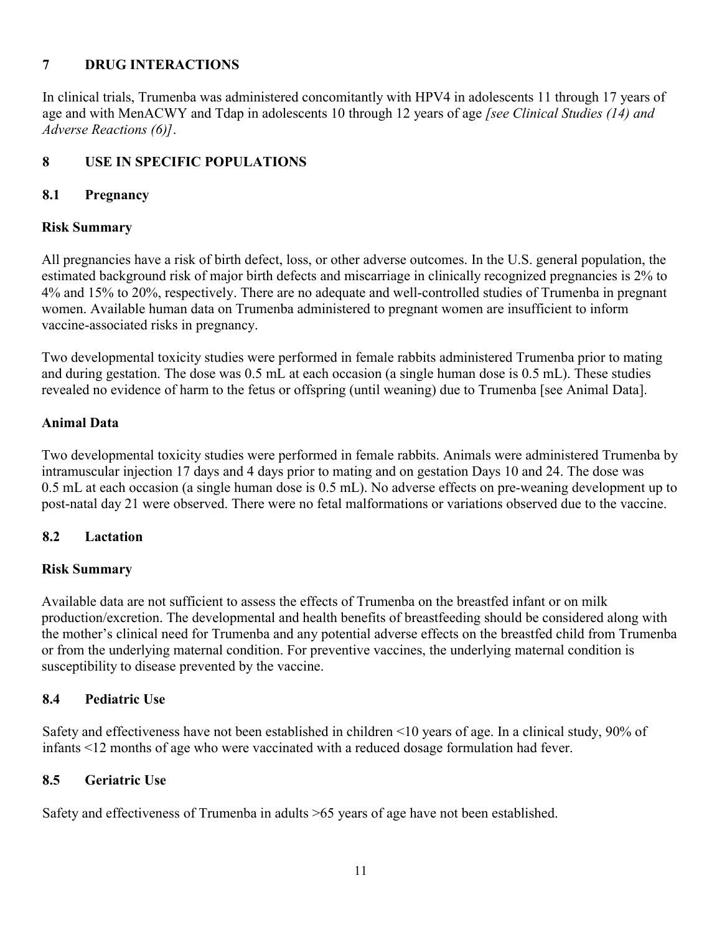# **7 DRUG INTERACTIONS**

In clinical trials, Trumenba was administered concomitantly with HPV4 in adolescents 11 through 17 years of age and with MenACWY and Tdap in adolescents 10 through 12 years of age *[see Clinical Studies (14) and Adverse Reactions (6)]*.

# **8 USE IN SPECIFIC POPULATIONS**

## **8.1 Pregnancy**

## **Risk Summary**

All pregnancies have a risk of birth defect, loss, or other adverse outcomes. In the U.S. general population, the estimated background risk of major birth defects and miscarriage in clinically recognized pregnancies is 2% to 4% and 15% to 20%, respectively. There are no adequate and well-controlled studies of Trumenba in pregnant women. Available human data on Trumenba administered to pregnant women are insufficient to inform vaccine-associated risks in pregnancy.

Two developmental toxicity studies were performed in female rabbits administered Trumenba prior to mating and during gestation. The dose was 0.5 mL at each occasion (a single human dose is 0.5 mL). These studies revealed no evidence of harm to the fetus or offspring (until weaning) due to Trumenba [see Animal Data].

## **Animal Data**

Two developmental toxicity studies were performed in female rabbits. Animals were administered Trumenba by intramuscular injection 17 days and 4 days prior to mating and on gestation Days 10 and 24. The dose was 0.5 mL at each occasion (a single human dose is 0.5 mL). No adverse effects on pre-weaning development up to post-natal day 21 were observed. There were no fetal malformations or variations observed due to the vaccine.

## **8.2 Lactation**

## **Risk Summary**

Available data are not sufficient to assess the effects of Trumenba on the breastfed infant or on milk production/excretion. The developmental and health benefits of breastfeeding should be considered along with the mother's clinical need for Trumenba and any potential adverse effects on the breastfed child from Trumenba or from the underlying maternal condition. For preventive vaccines, the underlying maternal condition is susceptibility to disease prevented by the vaccine.

## **8.4 Pediatric Use**

Safety and effectiveness have not been established in children <10 years of age. In a clinical study, 90% of infants <12 months of age who were vaccinated with a reduced dosage formulation had fever.

## **8.5 Geriatric Use**

Safety and effectiveness of Trumenba in adults >65 years of age have not been established.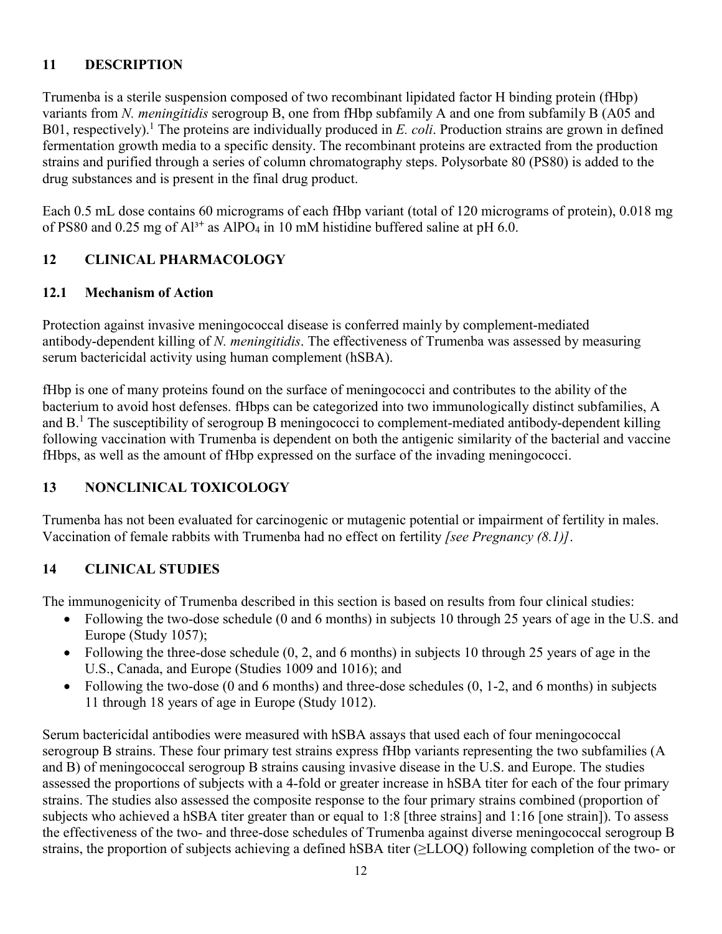# **11 DESCRIPTION**

Trumenba is a sterile suspension composed of two recombinant lipidated factor H binding protein (fHbp) variants from *N. meningitidis* serogroup B, one from fHbp subfamily A and one from subfamily B (A05 and B01, respectively). <sup>1</sup> The proteins are individually produced in *E. coli*. Production strains are grown in defined fermentation growth media to a specific density. The recombinant proteins are extracted from the production strains and purified through a series of column chromatography steps. Polysorbate 80 (PS80) is added to the drug substances and is present in the final drug product.

Each 0.5 mL dose contains 60 micrograms of each fHbp variant (total of 120 micrograms of protein), 0.018 mg of PS80 and 0.25 mg of Al<sup>3+</sup> as AlPO<sub>4</sub> in 10 mM histidine buffered saline at pH 6.0.

# **12 CLINICAL PHARMACOLOGY**

# **12.1 Mechanism of Action**

Protection against invasive meningococcal disease is conferred mainly by complement-mediated antibody-dependent killing of *N. meningitidis*. The effectiveness of Trumenba was assessed by measuring serum bactericidal activity using human complement (hSBA).

fHbp is one of many proteins found on the surface of meningococci and contributes to the ability of the bacterium to avoid host defenses. fHbps can be categorized into two immunologically distinct subfamilies, A and B.<sup>1</sup> The susceptibility of serogroup B meningococci to complement-mediated antibody-dependent killing following vaccination with Trumenba is dependent on both the antigenic similarity of the bacterial and vaccine fHbps, as well as the amount of fHbp expressed on the surface of the invading meningococci.

# **13 NONCLINICAL TOXICOLOGY**

Trumenba has not been evaluated for carcinogenic or mutagenic potential or impairment of fertility in males. Vaccination of female rabbits with Trumenba had no effect on fertility *[see Pregnancy (8.1)]*.

# **14 CLINICAL STUDIES**

The immunogenicity of Trumenba described in this section is based on results from four clinical studies:

- Following the two-dose schedule (0 and 6 months) in subjects 10 through 25 years of age in the U.S. and Europe (Study 1057);
- Following the three-dose schedule (0, 2, and 6 months) in subjects 10 through 25 years of age in the U.S., Canada, and Europe (Studies 1009 and 1016); and
- Following the two-dose  $(0 \text{ and } 6 \text{ months})$  and three-dose schedules  $(0, 1-2, \text{ and } 6 \text{ months})$  in subjects 11 through 18 years of age in Europe (Study 1012).

Serum bactericidal antibodies were measured with hSBA assays that used each of four meningococcal serogroup B strains. These four primary test strains express fHbp variants representing the two subfamilies (A and B) of meningococcal serogroup B strains causing invasive disease in the U.S. and Europe. The studies assessed the proportions of subjects with a 4-fold or greater increase in hSBA titer for each of the four primary strains. The studies also assessed the composite response to the four primary strains combined (proportion of subjects who achieved a hSBA titer greater than or equal to 1:8 [three strains] and 1:16 [one strain]). To assess the effectiveness of the two- and three-dose schedules of Trumenba against diverse meningococcal serogroup B strains, the proportion of subjects achieving a defined hSBA titer (≥LLOQ) following completion of the two- or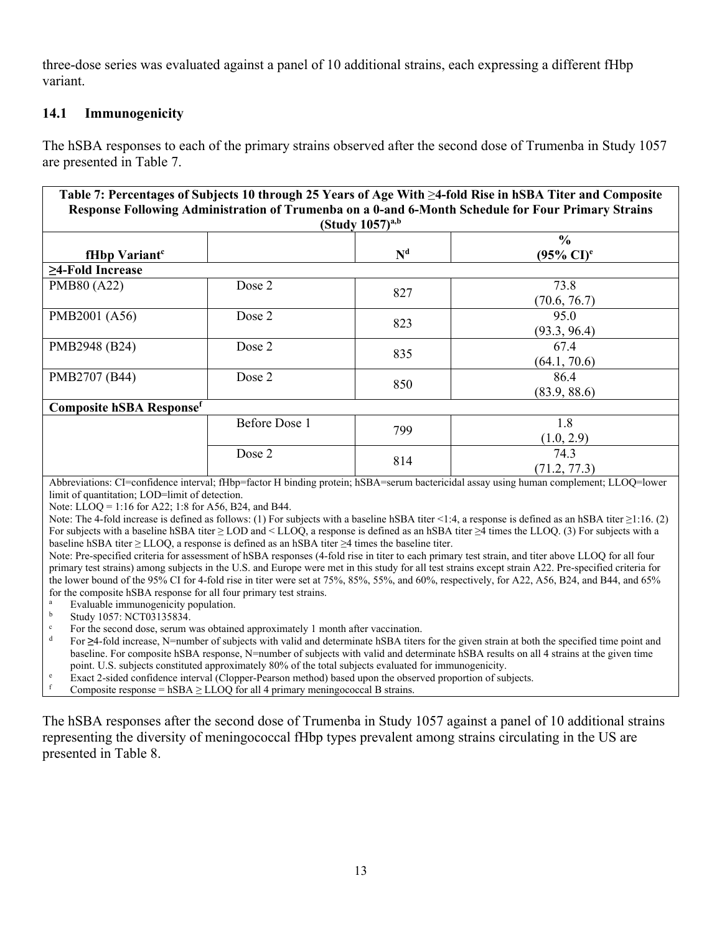three-dose series was evaluated against a panel of 10 additional strains, each expressing a different fHbp variant.

# **14.1 Immunogenicity**

The hSBA responses to each of the primary strains observed after the second dose of Trumenba in Study 1057 are presented in Table 7.

| Table 7: Percentages of Subjects 10 through 25 Years of Age With ≥4-fold Rise in hSBA Titer and Composite<br>Response Following Administration of Trumenba on a 0-and 6-Month Schedule for Four Primary Strains<br>(Study $1057$ ) <sup>a,b</sup> |               |                |                                        |  |  |  |  |
|---------------------------------------------------------------------------------------------------------------------------------------------------------------------------------------------------------------------------------------------------|---------------|----------------|----------------------------------------|--|--|--|--|
| fHbp Variant <sup>c</sup>                                                                                                                                                                                                                         |               | N <sup>d</sup> | $\frac{6}{6}$<br>$(95\% \text{ CI})^e$ |  |  |  |  |
| $\geq$ 4-Fold Increase                                                                                                                                                                                                                            |               |                |                                        |  |  |  |  |
| PMB80 (A22)                                                                                                                                                                                                                                       | Dose 2        | 827            | 73.8<br>(70.6, 76.7)                   |  |  |  |  |
| PMB2001 (A56)                                                                                                                                                                                                                                     | Dose 2        | 823            | 95.0<br>(93.3, 96.4)                   |  |  |  |  |
| PMB2948 (B24)                                                                                                                                                                                                                                     | Dose 2        | 835            | 67.4<br>(64.1, 70.6)                   |  |  |  |  |
| PMB2707 (B44)                                                                                                                                                                                                                                     | Dose 2        | 850            | 86.4<br>(83.9, 88.6)                   |  |  |  |  |
| <b>Composite hSBA Response</b> f                                                                                                                                                                                                                  |               |                |                                        |  |  |  |  |
|                                                                                                                                                                                                                                                   | Before Dose 1 | 799            | 1.8<br>(1.0, 2.9)                      |  |  |  |  |
|                                                                                                                                                                                                                                                   | Dose 2        | 814            | 74.3<br>(71.2, 77.3)                   |  |  |  |  |

Abbreviations: CI=confidence interval; fHbp=factor H binding protein; hSBA=serum bactericidal assay using human complement; LLOQ=lower limit of quantitation; LOD=limit of detection.

Note: LLOQ = 1:16 for A22; 1:8 for A56, B24, and B44.

Note: The 4-fold increase is defined as follows: (1) For subjects with a baseline hSBA titer <1:4, a response is defined as an hSBA titer ≥1:16. (2) For subjects with a baseline hSBA titer ≥ LOD and < LLOQ, a response is defined as an hSBA titer ≥4 times the LLOQ. (3) For subjects with a baseline hSBA titer ≥ LLOQ, a response is defined as an hSBA titer ≥4 times the baseline titer.

Note: Pre-specified criteria for assessment of hSBA responses (4-fold rise in titer to each primary test strain, and titer above LLOQ for all four primary test strains) among subjects in the U.S. and Europe were met in this study for all test strains except strain A22. Pre-specified criteria for the lower bound of the 95% CI for 4-fold rise in titer were set at 75%, 85%, 55%, and 60%, respectively, for A22, A56, B24, and B44, and 65% for the composite hSBA response for all four primary test strains.

<sup>a</sup> Evaluable immunogenicity population.

 $\frac{b}{s}$  Study 1057: NCT03135834.

<sup>c</sup> For the second dose, serum was obtained approximately 1 month after vaccination.

For ≥4-fold increase, N=number of subjects with valid and determinate hSBA titers for the given strain at both the specified time point and baseline. For composite hSBA response, N=number of subjects with valid and determinate hSBA results on all 4 strains at the given time point. U.S. subjects constituted approximately 80% of the total subjects evaluated for immunogenicity.

Exact 2-sided confidence interval (Clopper-Pearson method) based upon the observed proportion of subjects.

Composite response = hSBA  $\geq$  LLOQ for all 4 primary meningococcal B strains.

The hSBA responses after the second dose of Trumenba in Study 1057 against a panel of 10 additional strains representing the diversity of meningococcal fHbp types prevalent among strains circulating in the US are presented in Table 8.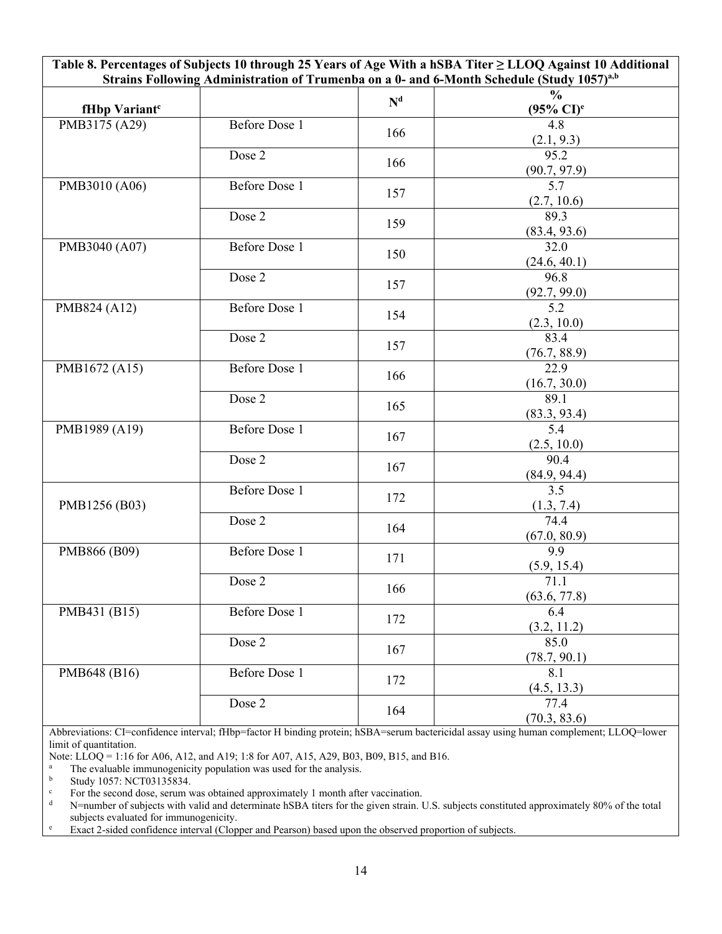| Table 8. Percentages of Subjects 10 through 25 Years of Age With a hSBA Titer $\geq$ LLOQ Against 10 Additional<br>Strains Following Administration of Trumenba on a 0- and 6-Month Schedule (Study 1057) <sup>a,b</sup> |                      |                |                                           |  |  |
|--------------------------------------------------------------------------------------------------------------------------------------------------------------------------------------------------------------------------|----------------------|----------------|-------------------------------------------|--|--|
|                                                                                                                                                                                                                          |                      | N <sup>d</sup> | $\frac{0}{0}$                             |  |  |
| fHbp Variant <sup>c</sup>                                                                                                                                                                                                |                      |                | $(95\% \text{ CI})^e$                     |  |  |
| PMB3175 (A29)                                                                                                                                                                                                            | Before Dose 1        | 166            | 4.8<br>$\frac{(2.1, 9.3)}{95.2}$          |  |  |
|                                                                                                                                                                                                                          | Dose 2               | 166            | $\frac{(90.7, 97.9)}{5.7}$                |  |  |
| PMB3010 (A06)                                                                                                                                                                                                            | <b>Before Dose 1</b> | 157            | (2.7, 10.6)                               |  |  |
|                                                                                                                                                                                                                          | Dose 2               | 159            | 89.3<br>(83.4, 93.6)                      |  |  |
| PMB3040 (A07)                                                                                                                                                                                                            | <b>Before Dose 1</b> | 150            | 32.0<br>(24.6, 40.1)                      |  |  |
|                                                                                                                                                                                                                          | Dose 2               | 157            | 96.8                                      |  |  |
| PMB824 (A12)                                                                                                                                                                                                             | <b>Before Dose 1</b> | 154            | $\frac{(92.7, 99.0)}{5.2}$<br>(2.3, 10.0) |  |  |
|                                                                                                                                                                                                                          | Dose 2               | 157            | 83.4<br>(76.7, 88.9)                      |  |  |
| PMB1672 (A15)                                                                                                                                                                                                            | <b>Before Dose 1</b> | 166            | $\overline{22.9}$<br>(16.7, 30.0)         |  |  |
|                                                                                                                                                                                                                          | Dose 2               | 165            | 89.1<br>(83.3, 93.4)                      |  |  |
| PMB1989 (A19)                                                                                                                                                                                                            | <b>Before Dose 1</b> | 167            | 5.4<br>(2.5, 10.0)                        |  |  |
|                                                                                                                                                                                                                          | Dose 2               | 167            | 90.4                                      |  |  |
| PMB1256 (B03)                                                                                                                                                                                                            | <b>Before Dose 1</b> | 172            | $\frac{(84.9, 94.4)}{3.5}$                |  |  |
|                                                                                                                                                                                                                          | Dose 2               | 164            | $\frac{(1.3, 7.4)}{74.4}$<br>(67.0, 80.9) |  |  |
| PMB866 (B09)                                                                                                                                                                                                             | <b>Before Dose 1</b> | 171            | $\overline{9.9}$<br>(5.9, 15.4)           |  |  |
|                                                                                                                                                                                                                          | Dose 2               | 166            | 71.1<br>(63.6, 77.8)                      |  |  |
| PMB431 (B15)                                                                                                                                                                                                             | Before Dose 1        | 172            | 6.4<br>(3.2, 11.2)                        |  |  |
|                                                                                                                                                                                                                          | Dose 2               | 167            | 85.0<br>(78.7, 90.1)                      |  |  |
| PMB648 (B16)                                                                                                                                                                                                             | Before Dose 1        | 172            | 8.1<br>(4.5, 13.3)                        |  |  |
|                                                                                                                                                                                                                          | Dose 2               | 164            | 77.4<br>(70.3, 83.6)                      |  |  |

Abbreviations: CI=confidence interval; fHbp=factor H binding protein; hSBA=serum bactericidal assay using human complement; LLOQ=lower limit of quantitation.

Note: LLOQ = 1:16 for A06, A12, and A19; 1:8 for A07, A15, A29, B03, B09, B15, and B16.

<sup>a</sup> The evaluable immunogenicity population was used for the analysis.<br> **b** Study 1057: NCT03135834

 $\frac{b}{c}$  Study 1057: NCT03135834.

For the second dose, serum was obtained approximately 1 month after vaccination.<br>N=number of subjects with valid and determinate bSBA titers for the given strain I

N=number of subjects with valid and determinate hSBA titers for the given strain. U.S. subjects constituted approximately 80% of the total subjects evaluated for immunogenicity.

<sup>e</sup> Exact 2-sided confidence interval (Clopper and Pearson) based upon the observed proportion of subjects.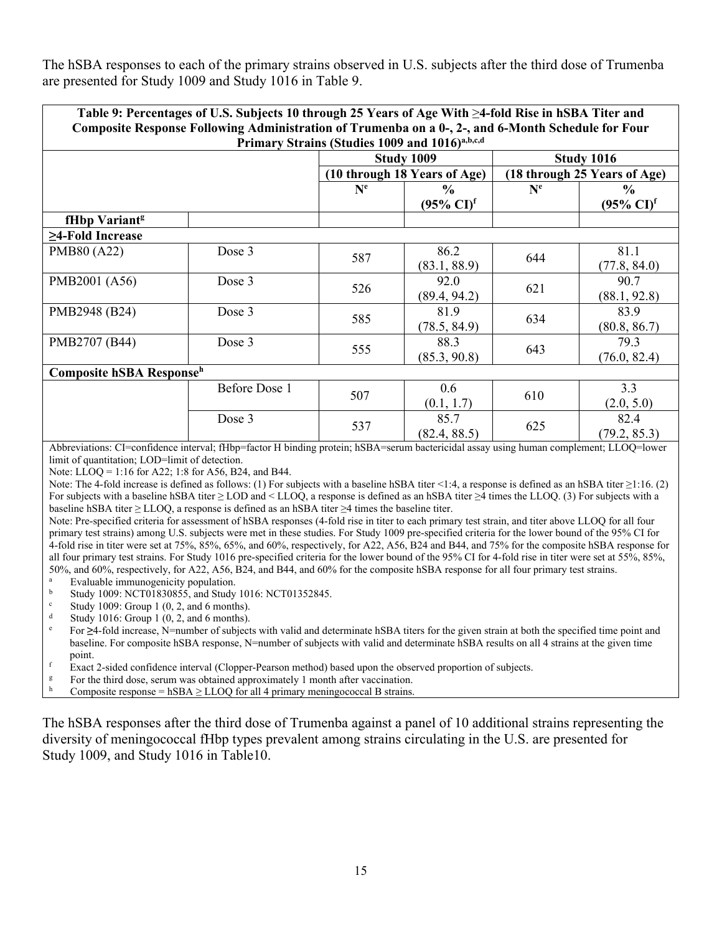The hSBA responses to each of the primary strains observed in U.S. subjects after the third dose of Trumenba are presented for Study 1009 and Study 1016 in Table 9.

| Table 9: Percentages of U.S. Subjects 10 through 25 Years of Age With $\geq 4$ -fold Rise in hSBA Titer and<br>Composite Response Following Administration of Trumenba on a 0-, 2-, and 6-Month Schedule for Four |                      |                           |                                                 |         |                                                 |  |
|-------------------------------------------------------------------------------------------------------------------------------------------------------------------------------------------------------------------|----------------------|---------------------------|-------------------------------------------------|---------|-------------------------------------------------|--|
|                                                                                                                                                                                                                   |                      |                           | Primary Strains (Studies 1009 and 1016)a,b,c,d  |         |                                                 |  |
|                                                                                                                                                                                                                   |                      |                           | Study 1009                                      |         | <b>Study 1016</b>                               |  |
|                                                                                                                                                                                                                   |                      |                           | (10 through 18 Years of Age)                    |         | (18 through 25 Years of Age)                    |  |
|                                                                                                                                                                                                                   |                      | $\mathbf{N}^{\mathbf{e}}$ | $\frac{6}{9}$<br>$(95\% \text{ CI})^{\text{f}}$ | $N^{e}$ | $\frac{6}{9}$<br>$(95\% \text{ CI})^{\text{f}}$ |  |
| fHbp Variant <sup>g</sup>                                                                                                                                                                                         |                      |                           |                                                 |         |                                                 |  |
| $\geq$ 4-Fold Increase                                                                                                                                                                                            |                      |                           |                                                 |         |                                                 |  |
| PMB80 (A22)                                                                                                                                                                                                       | Dose 3               | 587                       | 86.2<br>(83.1, 88.9)                            | 644     | 81.1<br>(77.8, 84.0)                            |  |
| PMB2001 (A56)                                                                                                                                                                                                     | Dose 3               | 526                       | 92.0<br>(89.4, 94.2)                            | 621     | 90.7<br>(88.1, 92.8)                            |  |
| PMB2948 (B24)                                                                                                                                                                                                     | Dose 3               | 585                       | 81.9<br>(78.5, 84.9)                            | 634     | 83.9<br>(80.8, 86.7)                            |  |
| PMB2707 (B44)                                                                                                                                                                                                     | Dose 3               | 555                       | 88.3<br>(85.3, 90.8)                            | 643     | 79.3<br>(76.0, 82.4)                            |  |
| Composite hSBA Response <sup>h</sup>                                                                                                                                                                              |                      |                           |                                                 |         |                                                 |  |
|                                                                                                                                                                                                                   | <b>Before Dose 1</b> | 507                       | 0.6<br>(0.1, 1.7)                               | 610     | 3.3<br>(2.0, 5.0)                               |  |
|                                                                                                                                                                                                                   | Dose 3               | 537                       | 85.7<br>(82.4, 88.5)                            | 625     | 82.4<br>(79.2, 85.3)                            |  |
| Abbreviations: CI=confidence interval; fHbp=factor H binding protein; hSBA=serum bactericidal assay using human complement; LLOQ=lower                                                                            |                      |                           |                                                 |         |                                                 |  |

Abbreviations: CI=confidence interval; fHbp=factor H binding protein; hSBA=serum bactericidal assay using human complement; LLOQ=lower limit of quantitation; LOD=limit of detection.

Note: LLOQ = 1:16 for A22; 1:8 for A56, B24, and B44.

Note: The 4-fold increase is defined as follows: (1) For subjects with a baseline hSBA titer <1:4, a response is defined as an hSBA titer ≥1:16. (2) For subjects with a baseline hSBA titer ≥ LOD and < LLOQ, a response is defined as an hSBA titer ≥4 times the LLOQ. (3) For subjects with a baseline hSBA titer ≥ LLOQ, a response is defined as an hSBA titer ≥4 times the baseline titer.

Note: Pre-specified criteria for assessment of hSBA responses (4-fold rise in titer to each primary test strain, and titer above LLOQ for all four primary test strains) among U.S. subjects were met in these studies. For Study 1009 pre-specified criteria for the lower bound of the 95% CI for 4-fold rise in titer were set at 75%, 85%, 65%, and 60%, respectively, for A22, A56, B24 and B44, and 75% for the composite hSBA response for all four primary test strains. For Study 1016 pre-specified criteria for the lower bound of the 95% CI for 4-fold rise in titer were set at 55%, 85%, 50%, and 60%, respectively, for A22, A56, B24, and B44, and 60% for the composite hSBA response for all four primary test strains.

<sup>a</sup> Evaluable immunogenicity population.<br>b Study 1000: NCT01830855, and Study

b Study 1009: NCT01830855, and Study 1016: NCT01352845.

<sup>c</sup> Study 1009: Group 1  $(0, 2,$  and 6 months).

Study 1016: Group 1 (0, 2, and 6 months).

<sup>e</sup> For **≥**4-fold increase, N=number of subjects with valid and determinate hSBA titers for the given strain at both the specified time point and baseline. For composite hSBA response, N=number of subjects with valid and determinate hSBA results on all 4 strains at the given time point.

<sup>f</sup> Exact 2-sided confidence interval (Clopper-Pearson method) based upon the observed proportion of subjects.

For the third dose, serum was obtained approximately 1 month after vaccination.

Composite response = hSBA  $\geq$  LLOQ for all 4 primary meningococcal B strains.

The hSBA responses after the third dose of Trumenba against a panel of 10 additional strains representing the diversity of meningococcal fHbp types prevalent among strains circulating in the U.S. are presented for Study 1009, and Study 1016 in Table10.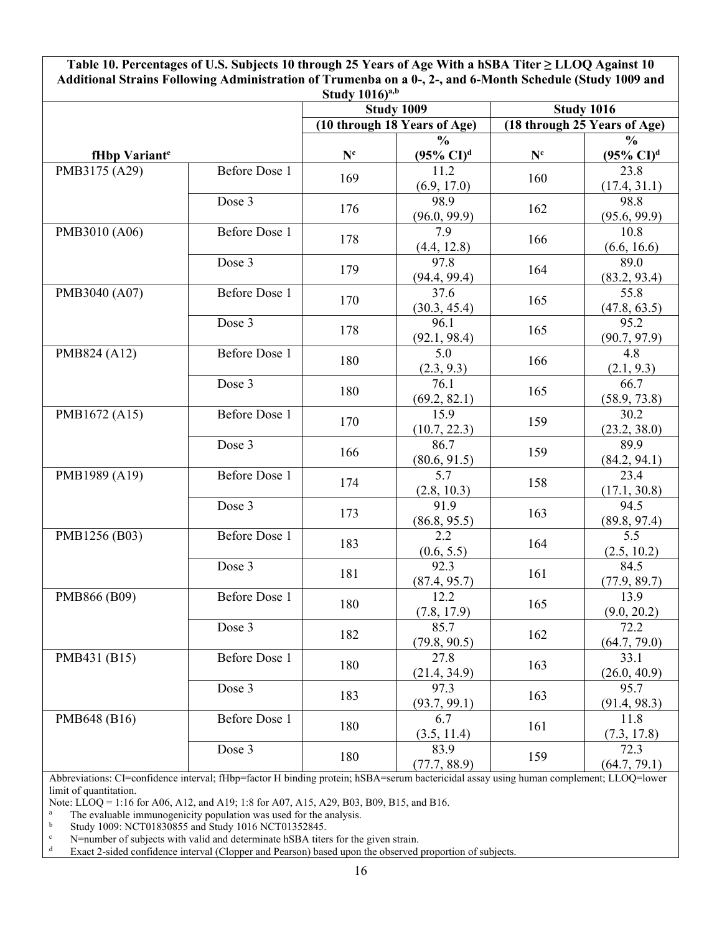**Table 10. Percentages of U.S. Subjects 10 through 25 Years of Age With a hSBA Titer ≥ LLOQ Against 10 Additional Strains Following Administration of Trumenba on a 0-, 2-, and 6-Month Schedule (Study 1009 and** 

| Study $1016)^{a,b}$       |                      |                              |                             |                              |                            |  |
|---------------------------|----------------------|------------------------------|-----------------------------|------------------------------|----------------------------|--|
|                           |                      |                              | <b>Study 1009</b>           | <b>Study 1016</b>            |                            |  |
|                           |                      | (10 through 18 Years of Age) |                             | (18 through 25 Years of Age) |                            |  |
|                           |                      |                              | $\frac{0}{0}$               |                              | $\frac{0}{0}$              |  |
| fHbp Variant <sup>e</sup> |                      | $\mathbf{N}^{\mathrm{c}}$    | $(95\% \text{ CI})^d$       | $\mathbf{N}^{\text{c}}$      | $(95\% \text{ CI})^d$      |  |
| PMB3175 (A29)             | <b>Before Dose 1</b> | 169                          | 11.2                        | 160                          | 23.8                       |  |
|                           |                      |                              | (6.9, 17.0)                 |                              | (17.4, 31.1)               |  |
|                           | Dose 3               | 176                          | 98.9                        | 162                          | 98.8                       |  |
|                           |                      |                              | (96.0, 99.9)                |                              | (95.6, 99.9)               |  |
| PMB3010 (A06)             | <b>Before Dose 1</b> | 178                          | 7.9                         | 166                          | 10.8                       |  |
|                           |                      |                              | (4.4, 12.8)                 |                              | (6.6, 16.6)                |  |
|                           | Dose 3               | 179                          | 97.8                        | 164                          | 89.0                       |  |
|                           |                      |                              | (94.4, 99.4)                |                              | (83.2, 93.4)               |  |
| PMB3040 (A07)             | <b>Before Dose 1</b> | 170                          | $\overline{37.6}$           | 165                          | 55.8                       |  |
|                           |                      |                              | (30.3, 45.4)                |                              | (47.8, 63.5)               |  |
|                           | Dose 3               | 178                          | 96.1                        | 165                          | 95.2                       |  |
|                           |                      |                              | (92.1, 98.4)                |                              | (90.7, 97.9)               |  |
| PMB824 (A12)              | Before Dose 1        | 180                          | $\overline{5.0}$            | 166                          | $\overline{4.8}$           |  |
|                           |                      |                              | $\frac{(2.3, 9.3)}{76.1}$   |                              | $\frac{(2.1, 9.3)}{66.7}$  |  |
|                           | Dose 3               | 180                          |                             | 165                          |                            |  |
|                           |                      |                              | (69.2, 82.1)                |                              | (58.9, 73.8)               |  |
| PMB1672 (A15)             | <b>Before Dose 1</b> | 170                          | 15.9                        | 159                          | 30.2                       |  |
|                           |                      |                              | (10.7, 22.3)                |                              | (23.2, 38.0)               |  |
|                           | Dose 3               | 166                          | 86.7                        | 159                          | 89.9                       |  |
|                           |                      |                              | $\frac{(80.6, 91.5)}{5.7}$  |                              | (84.2, 94.1)               |  |
| PMB1989 (A19)             | <b>Before Dose 1</b> | 174                          |                             | 158                          | 23.4                       |  |
|                           |                      |                              | (2.8, 10.3)                 |                              | (17.1, 30.8)               |  |
|                           | Dose 3               | 173                          | 91.9                        | 163                          | 94.5                       |  |
|                           |                      |                              | (86.8, 95.5)                |                              | (89.8, 97.4)               |  |
| PMB1256 (B03)             | <b>Before Dose 1</b> | 183                          | 2.2                         | 164                          | $\overline{5.5}$           |  |
|                           |                      |                              | $\frac{(0.6, 5.5)}{92.3}$   |                              | $\frac{(2.5, 10.2)}{84.5}$ |  |
|                           | Dose 3               | 181                          |                             | 161                          |                            |  |
|                           | <b>Before Dose 1</b> |                              | $\frac{(87.4, 95.7)}{12.2}$ |                              | (77.9, 89.7)<br>13.9       |  |
| PMB866 (B09)              |                      | 180                          |                             | 165                          |                            |  |
|                           | Dose 3               |                              | (7.8, 17.9)<br>85.7         |                              | (9.0, 20.2)<br>72.2        |  |
|                           |                      | 182                          | (79.8, 90.5)                | 162                          | (64.7, 79.0)               |  |
| PMB431 (B15)              | Before Dose 1        |                              | 27.8                        |                              | 33.1                       |  |
|                           |                      | 180                          | (21.4, 34.9)                | 163                          | (26.0, 40.9)               |  |
|                           | Dose 3               |                              | 97.3                        |                              | 95.7                       |  |
|                           |                      | 183                          | (93.7, 99.1)                | 163                          | (91.4, 98.3)               |  |
| PMB648 (B16)              | <b>Before Dose 1</b> |                              | 6.7                         | 161                          | 11.8                       |  |
|                           |                      | 180                          | (3.5, 11.4)                 |                              | (7.3, 17.8)                |  |
|                           | Dose 3               |                              | 83.9                        |                              | 72.3                       |  |
|                           |                      | 180                          | (77.7, 88.9)                | 159                          | (64.7, 79.1)               |  |
|                           |                      |                              |                             |                              |                            |  |

Abbreviations: CI=confidence interval; fHbp=factor H binding protein; hSBA=serum bactericidal assay using human complement; LLOQ=lower limit of quantitation.

Note: LLOQ = 1:16 for A06, A12, and A19; 1:8 for A07, A15, A29, B03, B09, B15, and B16.

<sup>a</sup> The evaluable immunogenicity population was used for the analysis.<br><sup>b</sup> Study 1009: NCT01830855 and Study 1016 NCT01352845.

b Study 1009: NCT01830855 and Study 1016 NCT01352845.<br>  $\leq$  N=number of subjects with valid and determinate bSBA titer

<sup>c</sup> N=number of subjects with valid and determinate hSBA titers for the given strain.<br><sup>d</sup> Exact 2-sided confidence interval (Clonner and Pearson) based upon the observed

Exact 2-sided confidence interval (Clopper and Pearson) based upon the observed proportion of subjects.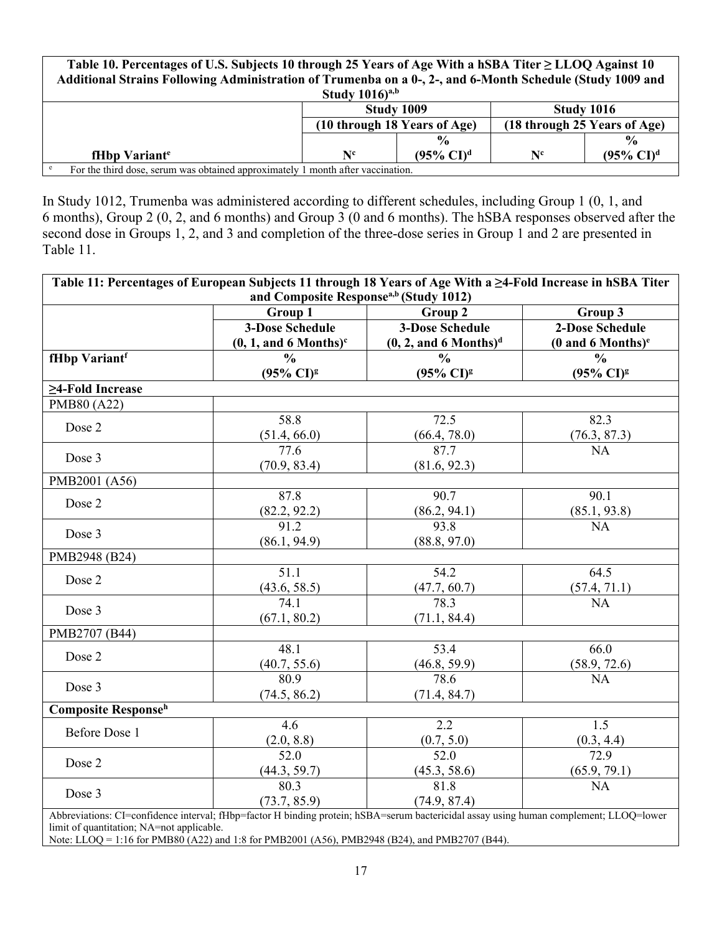| Table 10. Percentages of U.S. Subjects 10 through 25 Years of Age With a hSBA Titer $\geq$ LLOQ Against 10 |                                                              |                       |                |                       |  |  |
|------------------------------------------------------------------------------------------------------------|--------------------------------------------------------------|-----------------------|----------------|-----------------------|--|--|
| Additional Strains Following Administration of Trumenba on a 0-, 2-, and 6-Month Schedule (Study 1009 and  |                                                              |                       |                |                       |  |  |
| Study $1016)^{a,b}$                                                                                        |                                                              |                       |                |                       |  |  |
|                                                                                                            | Study 1009<br><b>Study 1016</b>                              |                       |                |                       |  |  |
|                                                                                                            | (10 through 18 Years of Age)<br>(18 through 25 Years of Age) |                       |                |                       |  |  |
| $\frac{0}{0}$<br>$\frac{0}{0}$                                                                             |                                                              |                       |                |                       |  |  |
| fHbp Variant <sup>e</sup>                                                                                  | $N^{\text{c}}$                                               | $(95\% \text{ CI})^d$ | $N^{\text{c}}$ | $(95\% \text{ CI})^d$ |  |  |
| For the third dose, serum was obtained approximately 1 month after vaccination.                            |                                                              |                       |                |                       |  |  |

In Study 1012, Trumenba was administered according to different schedules, including Group 1 (0, 1, and 6 months), Group 2 (0, 2, and 6 months) and Group 3 (0 and 6 months). The hSBA responses observed after the second dose in Groups 1, 2, and 3 and completion of the three-dose series in Group 1 and 2 are presented in Table 11.

| Table 11: Percentages of European Subjects 11 through 18 Years of Age With a ≥4-Fold Increase in hSBA Titer |                                                                                                                                        |                                     |                                 |  |  |  |
|-------------------------------------------------------------------------------------------------------------|----------------------------------------------------------------------------------------------------------------------------------------|-------------------------------------|---------------------------------|--|--|--|
| and Composite Response <sup>a,b</sup> (Study 1012)<br>Group 1<br>Group 2<br>Group 3                         |                                                                                                                                        |                                     |                                 |  |  |  |
|                                                                                                             | <b>3-Dose Schedule</b>                                                                                                                 | <b>3-Dose Schedule</b>              | <b>2-Dose Schedule</b>          |  |  |  |
|                                                                                                             | $(0, 1,$ and 6 Months) $\text{c}$                                                                                                      | $(0, 2, and 6$ Months) <sup>d</sup> | $(0$ and 6 Months) <sup>e</sup> |  |  |  |
| fHbp Variantf                                                                                               | $\frac{0}{0}$                                                                                                                          | $\frac{0}{0}$                       | $\frac{0}{0}$                   |  |  |  |
|                                                                                                             | $(95\% \text{ CI})^g$                                                                                                                  | $(95\% \text{ CI})^g$               | $(95\% \text{ CI})^g$           |  |  |  |
| $\geq$ 4-Fold Increase                                                                                      |                                                                                                                                        |                                     |                                 |  |  |  |
| PMB80 (A22)                                                                                                 |                                                                                                                                        |                                     |                                 |  |  |  |
| Dose 2                                                                                                      | 58.8                                                                                                                                   | 72.5                                | 82.3                            |  |  |  |
|                                                                                                             | (51.4, 66.0)                                                                                                                           | (66.4, 78.0)                        | (76.3, 87.3)                    |  |  |  |
| Dose 3                                                                                                      | 77.6                                                                                                                                   | 87.7                                | <b>NA</b>                       |  |  |  |
|                                                                                                             | (70.9, 83.4)                                                                                                                           | (81.6, 92.3)                        |                                 |  |  |  |
| PMB2001 (A56)                                                                                               |                                                                                                                                        |                                     |                                 |  |  |  |
| Dose 2                                                                                                      | 87.8                                                                                                                                   | 90.7                                | 90.1                            |  |  |  |
|                                                                                                             | $\frac{(82.2, 92.2)}{91.2}$                                                                                                            | (86.2, 94.1)                        | (85.1, 93.8)                    |  |  |  |
| Dose 3                                                                                                      |                                                                                                                                        | 93.8                                | <b>NA</b>                       |  |  |  |
|                                                                                                             | (86.1, 94.9)                                                                                                                           | (88.8, 97.0)                        |                                 |  |  |  |
| PMB2948 (B24)                                                                                               |                                                                                                                                        |                                     |                                 |  |  |  |
| Dose 2                                                                                                      | 51.1                                                                                                                                   | 54.2                                | 64.5                            |  |  |  |
|                                                                                                             | (43.6, 58.5)                                                                                                                           | (47.7, 60.7)                        | (57.4, 71.1)                    |  |  |  |
| Dose 3                                                                                                      | 74.1                                                                                                                                   | 78.3                                | <b>NA</b>                       |  |  |  |
|                                                                                                             | (67.1, 80.2)                                                                                                                           | (71.1, 84.4)                        |                                 |  |  |  |
| PMB2707 (B44)                                                                                               |                                                                                                                                        |                                     |                                 |  |  |  |
| Dose 2                                                                                                      | 48.1                                                                                                                                   | 53.4                                | 66.0                            |  |  |  |
|                                                                                                             | (40.7, 55.6)                                                                                                                           | (46.8, 59.9)                        | (58.9, 72.6)                    |  |  |  |
| Dose 3                                                                                                      | 80.9                                                                                                                                   | 78.6                                | <b>NA</b>                       |  |  |  |
|                                                                                                             | (74.5, 86.2)                                                                                                                           | (71.4, 84.7)                        |                                 |  |  |  |
| <b>Composite Response</b> h                                                                                 |                                                                                                                                        |                                     |                                 |  |  |  |
| Before Dose 1                                                                                               | 4.6                                                                                                                                    | 2.2                                 | 1.5                             |  |  |  |
|                                                                                                             | (2.0, 8.8)                                                                                                                             | (0.7, 5.0)                          | $\frac{(0.3, 4.4)}{72.9}$       |  |  |  |
| Dose 2                                                                                                      | 52.0                                                                                                                                   | $\frac{1}{52.0}$                    |                                 |  |  |  |
|                                                                                                             | (44.3, 59.7)                                                                                                                           | (45.3, 58.6)                        | (65.9, 79.1)                    |  |  |  |
| Dose 3                                                                                                      | 80.3                                                                                                                                   | 81.8                                | <b>NA</b>                       |  |  |  |
|                                                                                                             | (73.7, 85.9)                                                                                                                           | (74.9, 87.4)                        |                                 |  |  |  |
|                                                                                                             | Abbreviations: CI=confidence interval; fHbp=factor H binding protein; hSBA=serum bactericidal assay using human complement; LLOQ=lower |                                     |                                 |  |  |  |

limit of quantitation; NA=not applicable. Note: LLOQ = 1:16 for PMB80 (A22) and 1:8 for PMB2001 (A56), PMB2948 (B24), and PMB2707 (B44).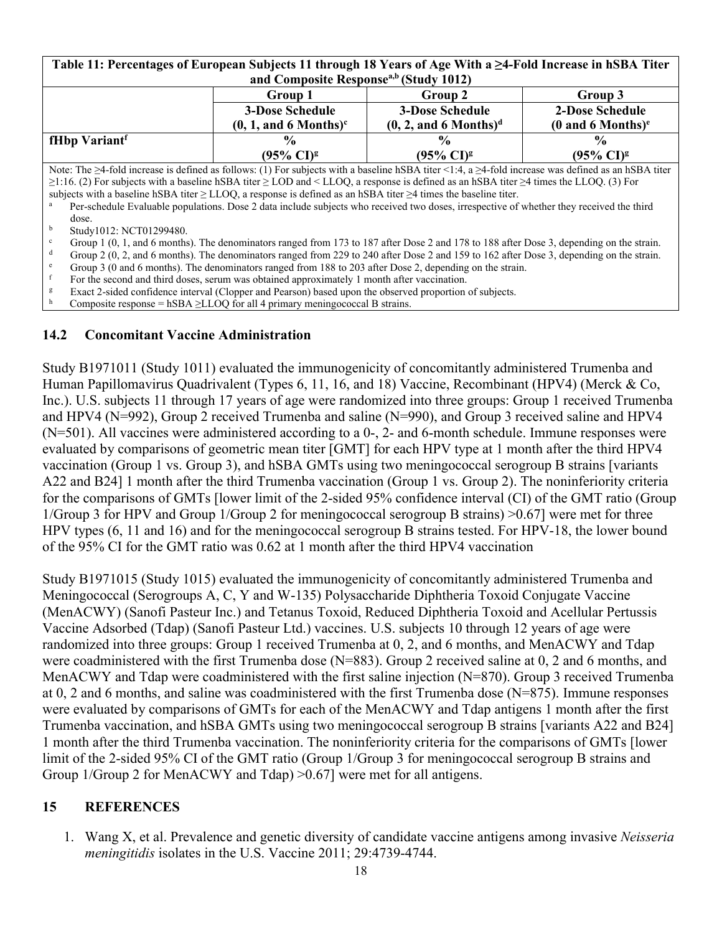| Table 11: Percentages of European Subjects 11 through 18 Years of Age With a ≥4-Fold Increase in hSBA Titer |  |  |  |  |  |  |
|-------------------------------------------------------------------------------------------------------------|--|--|--|--|--|--|
| and Composite Response <sup>a,b</sup> (Study 1012)                                                          |  |  |  |  |  |  |
|                                                                                                             |  |  |  |  |  |  |

|                                                                                                                                                                 | Group 1                             | Group 2                             | Group 3                               |  |  |
|-----------------------------------------------------------------------------------------------------------------------------------------------------------------|-------------------------------------|-------------------------------------|---------------------------------------|--|--|
|                                                                                                                                                                 | <b>3-Dose Schedule</b>              | <b>3-Dose Schedule</b>              | 2-Dose Schedule                       |  |  |
|                                                                                                                                                                 | $(0, 1,$ and 6 Months) <sup>c</sup> | $(0, 2, and 6$ Months) <sup>d</sup> | $(0 \text{ and } 6 \text{ months})^e$ |  |  |
| fHbp Variant <sup>f</sup>                                                                                                                                       | $\frac{0}{0}$                       | $\frac{0}{0}$                       | $\frac{6}{6}$                         |  |  |
|                                                                                                                                                                 | $(95\% \text{ CI})^g$               | $(95\% \text{ CI})^g$               | $(95\% \text{ CI})^g$                 |  |  |
| Note: The $\geq$ 4-fold increase is defined as follows: (1) For subjects with a baseline hSBA titer <1:4, a $\geq$ 4-fold increase was defined as an hSBA titer |                                     |                                     |                                       |  |  |
| $\sim$ 11 $\mu$ $\sim$ 10 $\mu$ 11 $\mu$ 10 $\mu$ $\sim$ 10 $\mu$ 1.1100 $\mu$ 10 $\mu$ 100 $\mu$ $\sim$ 100 $\mu$ 1.1100 $\mu$                                 |                                     |                                     |                                       |  |  |

≥1:16. (2) For subjects with a baseline hSBA titer ≥ LOD and < LLOQ, a response is defined as an hSBA titer ≥4 times the LLOQ. (3) For subjects with a baseline hSBA titer ≥ LLOQ, a response is defined as an hSBA titer ≥4 times the baseline titer.

<sup>a</sup> Per-schedule Evaluable populations. Dose 2 data include subjects who received two doses, irrespective of whether they received the third dose.

b Study1012: NCT01299480.

- <sup>c</sup> Group 1 (0, 1, and 6 months). The denominators ranged from 173 to 187 after Dose 2 and 178 to 188 after Dose 3, depending on the strain.
- Group 2 (0, 2, and 6 months). The denominators ranged from 229 to 240 after Dose 2 and 159 to 162 after Dose 3, depending on the strain.
- Group 3 (0 and 6 months). The denominators ranged from 188 to 203 after Dose 2, depending on the strain.

For the second and third doses, serum was obtained approximately 1 month after vaccination.

<sup>g</sup> Exact 2-sided confidence interval (Clopper and Pearson) based upon the observed proportion of subjects.

Composite response = hSBA  $\geq$ LLOQ for all 4 primary meningococcal B strains.

### **14.2 Concomitant Vaccine Administration**

Study B1971011 (Study 1011) evaluated the immunogenicity of concomitantly administered Trumenba and Human Papillomavirus Quadrivalent (Types 6, 11, 16, and 18) Vaccine, Recombinant (HPV4) (Merck & Co, Inc.). U.S. subjects 11 through 17 years of age were randomized into three groups: Group 1 received Trumenba and HPV4 (N=992), Group 2 received Trumenba and saline (N=990), and Group 3 received saline and HPV4 (N=501). All vaccines were administered according to a 0-, 2- and 6-month schedule. Immune responses were evaluated by comparisons of geometric mean titer [GMT] for each HPV type at 1 month after the third HPV4 vaccination (Group 1 vs. Group 3), and hSBA GMTs using two meningococcal serogroup B strains [variants A22 and B24] 1 month after the third Trumenba vaccination (Group 1 vs. Group 2). The noninferiority criteria for the comparisons of GMTs [lower limit of the 2-sided 95% confidence interval (CI) of the GMT ratio (Group 1/Group 3 for HPV and Group 1/Group 2 for meningococcal serogroup B strains) >0.67] were met for three HPV types (6, 11 and 16) and for the meningococcal serogroup B strains tested. For HPV-18, the lower bound of the 95% CI for the GMT ratio was 0.62 at 1 month after the third HPV4 vaccination

Study B1971015 (Study 1015) evaluated the immunogenicity of concomitantly administered Trumenba and Meningococcal (Serogroups A, C, Y and W-135) Polysaccharide Diphtheria Toxoid Conjugate Vaccine (MenACWY) (Sanofi Pasteur Inc.) and Tetanus Toxoid, Reduced Diphtheria Toxoid and Acellular Pertussis Vaccine Adsorbed (Tdap) (Sanofi Pasteur Ltd.) vaccines. U.S. subjects 10 through 12 years of age were randomized into three groups: Group 1 received Trumenba at 0, 2, and 6 months, and MenACWY and Tdap were coadministered with the first Trumenba dose (N=883). Group 2 received saline at 0, 2 and 6 months, and MenACWY and Tdap were coadministered with the first saline injection (N=870). Group 3 received Trumenba at 0, 2 and 6 months, and saline was coadministered with the first Trumenba dose (N=875). Immune responses were evaluated by comparisons of GMTs for each of the MenACWY and Tdap antigens 1 month after the first Trumenba vaccination, and hSBA GMTs using two meningococcal serogroup B strains [variants A22 and B24] 1 month after the third Trumenba vaccination. The noninferiority criteria for the comparisons of GMTs [lower limit of the 2-sided 95% CI of the GMT ratio (Group 1/Group 3 for meningococcal serogroup B strains and Group 1/Group 2 for MenACWY and Tdap) >0.67] were met for all antigens.

## **15 REFERENCES**

1. Wang X, et al. Prevalence and genetic diversity of candidate vaccine antigens among invasive *Neisseria meningitidis* isolates in the U.S. Vaccine 2011; 29:4739-4744.